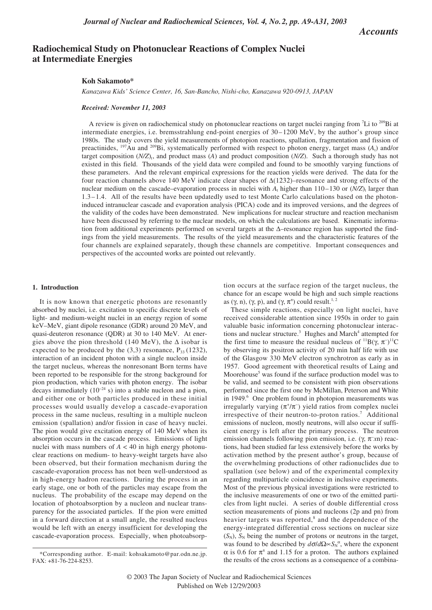# *Accounts*

# **Radiochemical Study on Photonuclear Reactions of Complex Nuclei at Intermediate Energies**

# **Koh Sakamoto\***

*Kanazawa Kids' Science Center, 16, San-Bancho, Nishi-cho, Kanazawa 920-0913, JAPAN*

### *Received: November 11, 2003*

A review is given on radiochemical study on photonuclear reactions on target nuclei ranging from <sup>7</sup>Li to <sup>209</sup>Bi at intermediate energies, i.e. bremsstrahlung end-point energies of 30–1200 MeV, by the author's group since 1980s. The study covers the yield measurements of photopion reactions, spallation, fragmentation and fission of preactinides,  $197\text{Au}$  and  $209\text{Bi}$ , systematically performed with respect to photon energy, target mass  $(A_1)$  and/or target composition  $(N/Z)$ , and product mass  $(A)$  and product composition  $(N/Z)$ . Such a thorough study has not existed in this field. Thousands of the yield data were compiled and found to be smoothly varying functions of these parameters. And the relevant empirical expressions for the reaction yields were derived. The data for the four reaction channels above 140 MeV indicate clear shapes of ∆(1232)–resonance and strong effects of the nuclear medium on the cascade–evaporation process in nuclei with  $A_t$  higher than 110–130 or ( $N/Z$ ), larger than 1.3–1.4. All of the results have been updatedly used to test Monte Carlo calculations based on the photoninduced intranuclear cascade and evaporation analysis (PICA) code and its improved versions, and the degrees of the validity of the codes have been demonstrated. New implications for nuclear structure and reaction mechanism have been discussed by referring to the nuclear models, on which the calculations are based. Kinematic information from additional experiments performed on several targets at the ∆–resonance region has supported the findings from the yield measurements. The results of the yield measurements and the characteristic features of the four channels are explained separately, though these channels are competitive. Important consequences and perspectives of the accounted works are pointed out relevantly.

### **1. Introduction**

It is now known that energetic photons are resonantly absorbed by nuclei, i.e. excitation to specific discrete levels of light- and medium-weight nuclei in an energy region of some keV–MeV, giant dipole resonance (GDR) around 20 MeV, and quasi-deuteron resonance (QDR) at 30 to 140 MeV. At energies above the pion threshold (140 MeV), the  $\Delta$  isobar is expected to be produced by the  $(3,3)$  resonance,  $P_{33}$  (1232), interaction of an incident photon with a single nucleon inside the target nucleus, whereas the nonresonant Born terms have been reported to be responsible for the strong background for pion production, which varies with photon energy. The isobar decays immediately  $(10^{-24} s)$  into a stable nucleon and a pion, and either one or both particles produced in these initial processes would usually develop a cascade-evaporation process in the same nucleus, resulting in a multiple nucleon emission (spallation) and/or fission in case of heavy nuclei. The pion would give excitation energy of 140 MeV when its absorption occurs in the cascade process. Emissions of light nuclei with mass numbers of  $A < 40$  in high energy photonuclear reactions on medium- to heavy-weight targets have also been observed, but their formation mechanism during the cascade-evaporation process has not been well-understood as in high-energy hadron reactions. During the process in an early stage, one or both of the particles may escape from the nucleus. The probability of the escape may depend on the location of photoabsorption by a nucleon and nuclear transparency for the associated particles. If the pion were emitted in a forward direction at a small angle, the resulted nucleus would be left with an energy insufficient for developing the cascade-evaporation process. Especially, when photoabsorption occurs at the surface region of the target nucleus, the chance for an escape would be high and such simple reactions as (γ, n), (γ, p), and (γ,  $\pi^{\pm}$ ) could result.<sup>1, 2</sup>

These simple reactions, especially on light nuclei, have received considerable attention since 1950s in order to gain valuable basic information concerning photonuclear interactions and nuclear structure.<sup>3</sup> Hughes and March<sup>4</sup> attempted for the first time to measure the residual nucleus of <sup>11</sup>B(γ,  $\pi$ <sup>-11</sup>C by observing its positron activity of 20 min half life with use of the Glasgow 330 MeV electron synchrotron as early as in 1957. Good agreement with theoretical results of Laing and Moorehouse<sup>5</sup> was found if the surface production model was to be valid, and seemed to be consistent with pion observations performed since the first one by McMillan, Peterson and White in 1949.<sup>6</sup> One problem found in photopion measurements was irregularly varying  $(\pi^*/\pi^-)$  yield ratios from complex nuclei irrespective of their neutron-to-proton ratios.<sup>7</sup> Additional emissions of nucleon, mostly neutrons, will also occur if sufficient energy is left after the primary process. The neutron emission channels following pion emission, i.e. (γ, π− *x*n) reactions, had been studied far less extensively before the works by activation method by the present author's group, because of the overwhelming productions of other radionuclides due to spallation (see below) and of the experimental complexity regarding multiparticle coincidence in inclusive experiments. Most of the previous physical investigations were restricted to the inclusive measurements of one or two of the emitted particles from light nuclei. A series of double differential cross section measurements of pions and nucleons (2p and pn) from heavier targets was reported,<sup>8</sup> and the dependence of the energy-integrated differential cross sections on nuclear size  $(S_N)$ ,  $S_N$  being the number of protons or neutrons in the target, was found to be described by  $d\sigma/d\Omega \propto S_N^{\alpha}$ , where the exponent  $\alpha$  is 0.6 for  $\pi^{\pm}$  and 1.15 for a proton. The authors explained the results of the cross sections as a consequence of a combina-

<sup>\*</sup>Corresponding author. E-mail: kohsakamoto@par.odn.ne.jp. FAX: +81-76-224-8253.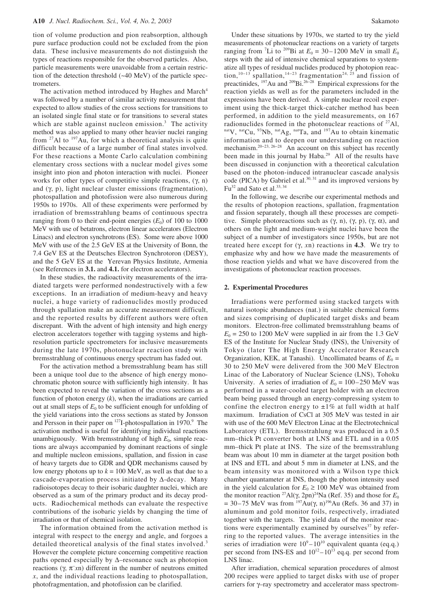tion of volume production and pion reabsorption, although pure surface production could not be excluded from the pion data. These inclusive measurements do not distinguish the types of reactions responsible for the observed particles. Also, particle measurements were unavoidable from a certain restriction of the detection threshold (~40 MeV) of the particle spectrometers.

The activation method introduced by Hughes and March<sup>4</sup> was followed by a number of similar activity measurement that expected to allow studies of the cross sections for transitions to an isolated single final state or for transitions to several states which are stable against nucleon emission.<sup>3</sup> The activity method was also applied to many other heavier nuclei ranging from  $27$ Al to  $197$ Au, for which a theoretical analysis is quite difficult because of a large number of final states involved. For these reactions a Monte Carlo calculation combining elementary cross sections with a nuclear model gives some insight into pion and photon interaction with nuclei. Pioneer works for other types of competitive simple reactions,  $(\gamma, n)$ and (γ, p), light nuclear cluster emissions (fragmentation), photospallation and photofission were also numerous during 1950s to 1970s. All of these experiments were performed by irradiation of bremsstrahlung beams of continuous spectra ranging from 0 to their end-point energies  $(E_0)$  of 100 to 1000 MeV with use of betatrons, electron linear accelerators (Electron Linacs) and electron synchrotrons (ES). Some were above 1000 MeV with use of the 2.5 GeV ES at the University of Bonn, the 7.4 GeV ES at the Deutsches Electron Synchrotoron (DESY), and the 5 GeV ES at the Yerevan Physics Institute, Armenia (see References in **3.1.** and **4.1.** for electron accelerators).

In these studies, the radioactivity measurements of the irradiated targets were performed nondestructively with a few exceptions. In an irradiation of medium-heavy and heavy nuclei, a huge variety of radionuclides mostly produced through spallation make an accurate measurement difficult, and the reported results by different authors were often discrepant. With the advent of high intensity and high energy electron accelerators together with tagging systems and highresolution particle spectrometers for inclusive measurements during the late 1970s, photonuclear reaction study with bremsstrahlung of continuous energy spectrum has faded out.

For the activation method a bremsstrahlung beam has still been a unique tool due to the absence of high energy monochromatic photon source with sufficiently high intensity. It has been expected to reveal the variation of the cross sections as a function of photon energy (*k*), when the irradiations are carried out at small steps of  $E_0$  to be sufficient enough for unfolding of the yield variations into the cross sections as stated by Jonsson and Persson in their paper on  $127$ I-photospallation in 1970.<sup>9</sup> The activation method is useful for identifying individual reactions unambiguously. With bremsstrahlung of high  $E_0$ , simple reactions are always accompanied by dominant reactions of single and multiple nucleon emissions, spallation, and fission in case of heavy targets due to GDR and QDR mechanisms caused by low energy photons up to  $k = 100$  MeV, as well as that due to a cascade-evaporation process initiated by ∆-decay. Many radioisotopes decay to their isobaric daughter nuclei, which are observed as a sum of the primary product and its decay products. Radiochemical methods can evaluate the respective contributions of the isobaric yields by changing the time of irradiation or that of chemical isolation.

The information obtained from the activation method is integral with respect to the energy and angle, and forgoes a detailed theoretical analysis of the final states involved.<sup>3</sup> However the complete picture concerning competitive reaction paths opened especially by ∆–resonance such as photopion reactions  $(γ, π<sup>−</sup>xn)$  different in the number of neutrons emitted *x*, and the individual reactions leading to photospallation, photofragmentation, and photofission can be clarified.

Under these situations by 1970s, we started to try the yield measurements of photonuclear reactions on a variety of targets ranging from <sup>7</sup>Li to <sup>209</sup>Bi at  $E_0 = 30-1200$  MeV in small  $E_0$ steps with the aid of intensive chemical separations to systematize all types of residual nuclides produced by photopion reaction,<sup>10−13</sup> spallation,<sup>14−23</sup> fragmentation<sup>24, 25</sup> and fission of preactinides, 197Au and 209Bi.26<sup>−</sup><sup>28</sup> Empirical expressions for the reaction yields as well as for the parameters included in the expressions have been derived. A simple nuclear recoil experiment using the thick-target thick-catcher method has been performed, in addition to the yield measurements, on 167 radionuclides formed in the photonuclear reactions of  $^{27}$ Al, natV, natCu, <sup>93</sup>Nb, natAg, natTa, and <sup>197</sup>Au to obtain kinematic information and to deepen our understanding on reaction mechanism.20<sup>−</sup>23, 26−<sup>28</sup> An account on this subject has recently been made in this journal by Haba.<sup>29</sup> All of the results have been discussed in conjunction with a theoretical calculation based on the photon-induced intranuclear cascade analysis code (PICA) by Gabriel et al. $30, 31$  and its improved versions by  $Fu^{32}$  and Sato et al.<sup>33, 34</sup>

In the following, we describe our experimental methods and the results of photopion reactions, spallation, fragmentation and fission separately, though all these processes are competitive. Simple photoreactions such as  $(γ, n)$ ,  $(γ, p)$ ,  $(γ, α)$ , and others on the light and medium-weight nuclei have been the subject of a number of investigators since 1950s, but are not treated here except for (γ, *x*n) reactions in **4.3**. We try to emphasize why and how we have made the measurements of those reaction yields and what we have discovered from the investigations of photonuclear reaction processes.

#### **2. Experimental Procedures**

Irradiations were performed using stacked targets with natural isotopic abundances (nat.) in suitable chemical forms and sizes comprising of duplicated target disks and beam monitors. Electron-free collimated bremsstrahlung beams of  $E_0 = 250$  to 1200 MeV were supplied in air from the 1.3 GeV ES of the Institute for Nuclear Study (INS), the University of Tokyo (later The High Energy Accelerator Research Organization, KEK, at Tanashi). Uncollimated beams of  $E_0 =$ 30 to 250 MeV were delivered from the 300 MeV Electron Linac of the Laboratory of Nuclear Science (LNS), Tohoku University. A series of irradiation of  $E_0 = 100-250$  MeV was performed in a water-cooled target holder with an electron beam being passed through an energy-compressing system to confine the electron energy to  $\pm 1\%$  at full width at half maximum. Irradiation of CsCl at 305 MeV was tested in air with use of the 600 MeV Electron Linac at the Electrotechnical Laboratory (ETL). Bremsstrahlung was produced in a 0.5 mm–thick Pt converter both at LNS and ETL and in a 0.05 mm–thick Pt plate at INS. The size of the bremsstrahlung beam was about 10 mm in diameter at the target position both at INS and ETL and about 5 mm in diameter at LNS, and the beam intensity was monitored with a Wilson type thick chamber quantameter at INS, though the photon intensity used in the yield calculation for  $E_0 \ge 100$  MeV was obtained from the monitor reaction <sup>27</sup>Al( $\gamma$ , 2pn)<sup>24</sup>Na (Ref. 35) and those for  $E_0$ = 30–75 MeV was from <sup>197</sup>Au(γ, n)<sup>196</sup>Au (Refs. 36 and 37) in aluminum and gold monitor foils, respectively, irradiated together with the targets. The yield data of the monitor reactions were experimentally examined by ourselves $37$  by referring to the reported values. The average intensities in the series of irradiation were  $10^9 - 10^{10}$  equivalent quanta (eq.q.) per second from INS-ES and  $10^{12} - 10^{13}$  eq.q. per second from LNS linac.

After irradiation, chemical separation procedures of almost 200 recipes were applied to target disks with use of proper carriers for γ–ray spectrometry and accelerator mass spectrom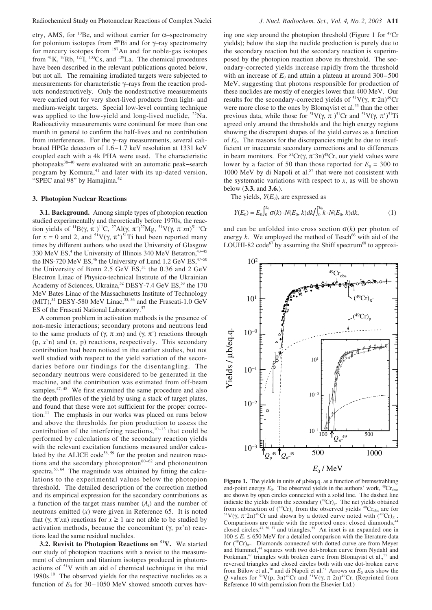etry, AMS, for  ${}^{10}$ Be, and without carrier for  $\alpha$ –spectrometry for polonium isotopes from <sup>209</sup>Bi and for  $\gamma$ –ray spectrometry for mercury isotopes from  $197$ Au and for noble-gas isotopes from  ${}^{41}K$ ,  ${}^{87}Rb$ ,  ${}^{127}I$ ,  ${}^{133}Cs$ , and  ${}^{139}La$ . The chemical procedures have been described in the relevant publications quoted below, but not all. The remaining irradiated targets were subjected to measurements for characteristic γ–rays from the reaction products nondestructively. Only the nondestructive measurements were carried out for very short-lived products from light- and medium-weight targets. Special low-level counting technique was applied to the low-yield and long-lived nuclide,  $^{22}$ Na. Radioactivity measurements were continued for more than one month in general to confirm the half-lives and no contribution from interferences. For the γ–ray measurements, several calibrated HPGe detectors of 1.6–1.7 keV resolution at 1331 keV coupled each with a 4k PHA were used. The characteristic photopeaks38<sup>−</sup><sup>40</sup> were evaluated with an automatic peak−search

### **3. Photopion Nuclear Reactions**

"SPEC anal 98" by Hamajima.<sup>42</sup>

**3.1. Background.** Among simple types of photopion reaction studied experimentally and theoretically before 1970s, the reaction yields of <sup>11</sup>B( $\gamma$ ,  $\pi$ <sup>-)1</sup>C, <sup>27</sup>Al( $\gamma$ ,  $\pi$ <sup>+</sup>)<sup>27</sup>Mg, <sup>51</sup>V( $\gamma$ ,  $\pi$ <sup>-</sup>*x*n)<sup>51-*x*</sup>Cr for  $x = 0$  and 2, and <sup>51</sup>V( $\gamma$ ,  $\pi^+$ )<sup>51</sup>Ti had been reported many times by different authors who used the University of Glasgow 330 MeV ES,<sup>4</sup> the University of Illinois 340 MeV Betatron,<sup>43–45</sup> the INS-720 MeV ES,<sup>46</sup> the University of Lund 1.2 GeV ES,<sup>47–50</sup> the University of Bonn 2.5 GeV ES,<sup>51</sup> the 0.36 and 2 GeV Electron Linac of Physico-technical Institute of the Ukrainian Academy of Sciences, Ukraina,<sup>52</sup> DESY-7.4 GeV ES,<sup>53</sup> the 170 MeV Bates Linac of the Massachusetts Institute of Technology  $(MIT)$ ,<sup>54</sup> DESY-580 MeV Linac,<sup>55, 56</sup> and the Frascati-1.0 GeV ES of the Frascati National Laboratory.57

program by Komura, $41$  and later with its up-dated version,

A common problem in activation methods is the presence of non-mesic interactions; secondary protons and neutrons lead to the same products of  $(\gamma, \pi^-\overline{x})$  and  $(\gamma, \pi^+)$  reactions through (p, *x*'n) and (n, p) reactions, respectively. This secondary contribution had been noticed in the earlier studies, but not well studied with respect to the yield variation of the secondaries before our findings for the disentangling. The secondary neutrons were considered to be generated in the machine, and the contribution was estimated from off-beam samples.<sup>47, 48</sup> We first examined the same procedure and also the depth profiles of the yield by using a stack of target plates, and found that these were not sufficient for the proper correction.11 The emphasis in our works was placed on runs below and above the thresholds for pion production to assess the contribution of the interfering reactions,10<sup>−</sup><sup>13</sup> that could be performed by calculations of the secondary reaction yields with the relevant excitation functions measured and/or calculated by the ALICE code<sup>58, 59</sup> for the proton and neutron reactions and the secondary photoproton<sup>60−62</sup> and photoneutron spectra.<sup>63, 64</sup> The magnitude was obtained by fitting the calculations to the experimental values below the photopion threshold. The detailed description of the correction method and its empirical expression for the secondary contributions as a function of the target mass number  $(A_t)$  and the number of neutrons emitted (*x*) were given in Reference 65. It is noted that  $(\gamma, \pi^+ x n)$  reactions for  $x \ge 1$  are not able to be studied by activation methods, because the concomitant (γ, p*x*'n) reactions lead the same residual nuclides.

**3.2. Revisit to Photopion Reactions on 51V.** We started our study of photopion reactions with a revisit to the measurement of chromium and titanium isotopes produced in photoreactions of 51V with an aid of chemical technique in the mid 1980s.<sup>10</sup> The observed yields for the respective nuclides as a function of  $E_0$  for 30–1050 MeV showed smooth curves having one step around the photopion threshold (Figure 1 for <sup>49</sup>Cr yields); below the step the nuclide production is purely due to the secondary reaction but the secondary reaction is superimposed by the photopion reaction above its threshold. The secondary-corrected yields increase rapidly from the threshold with an increase of  $E_0$  and attain a plateau at around  $300-500$ MeV, suggesting that photons responsible for production of these nuclides are mostly of energies lower than 400 MeV. Our results for the secondary-corrected yields of  $51V(\gamma, π^-2n)^{49}Cr$ were more close to the ones by Blomqvist et al.<sup>55</sup> than the other previous data, while those for <sup>51</sup>V(γ,  $\pi$ <sup>-51</sup>Cr and <sup>51</sup>V(γ,  $\pi$ <sup>+</sup>)<sup>51</sup>Ti agreed only around the thresholds and the high energy regions showing the discrepant shapes of the yield curves as a function of *E*0. The reasons for the discrepancies might be due to insufficient or inaccurate secondary corrections and to differences in beam monitors. For <sup>51</sup>Cr( $\gamma$ ,  $\pi$ <sup>-3</sup>n)<sup>48</sup>Cr, our yield values were lower by a factor of 50 than those reported for  $E_0 = 300$  to 1000 MeV by di Napoli et al.<sup>57</sup> that were not consistent with the systematic variations with respect to  $x$ , as will be shown below (**3.3.** and **3.6.**).

The yields,  $Y(E_0)$ , are expressed as

$$
Y(E_0) = E_0 \int_0^{E_0} \sigma(k) \cdot N(E_0, k) dk \int_0^{E_0} k \cdot N(E_0, k) dk,
$$
 (1)

and can be unfolded into cross section  $\sigma(k)$  per photon of energy  $k$ . We employed the method of Tesch<sup>66</sup> with aid of the LOUHI-82 code<sup>67</sup> by assuming the Shiff spectrum<sup>68</sup> to approxi-



Figure 1. The yields in units of  $\mu$ b/eq.q. as a function of bremsstrahlung end-point energy  $E_0$ . The observed yields in the authors' work, <sup>49</sup>Cr<sub>obs</sub>, are shown by open circles connected with a solid line. The dashed line indicate the yields from the secondary  $(^{49}Cr)_{p}$ . The net yields obtained from subtraction of (<sup>49</sup>Cr)<sub>p</sub> from the observed yields <sup>49</sup>Cr<sub>obs</sub> are for 51V(γ, π<sup>−2</sup>n)<sup>49</sup>Cr and shown by a dotted curve noted with (<sup>49</sup>Cr)<sub>π−</sub>. Comparisons are made with the reported ones: closed diamonds,<sup>44</sup> closed circles,<sup>47, 50, 57</sup> and triangles.<sup>55</sup> An inset is an expanded one in  $100 \le E_0 \le 650$  MeV for a detailed comparison with the literature data for (49Cr)π−. Diamonds connected with dotted curve are from Meyer and Hummel,<sup>44</sup> squares with two dot-broken curve from Nydahl and Forkman, $47$  triangles with broken curve from Blomqvist et al., $55$  and reversed triangles and closed circles both with one dot-broken curve from Bülow et al.,<sup>50</sup> and di Napoli et al.<sup>57</sup> Arrows on  $E_0$  axis show the  $Q$ -values for <sup>51</sup>V(p, 3n)<sup>49</sup>Cr and <sup>51</sup>V(γ, π<sup>-</sup>2n)<sup>49</sup>Cr. (Reprinted from Reference 10 with permission from the Elsevier Ltd.)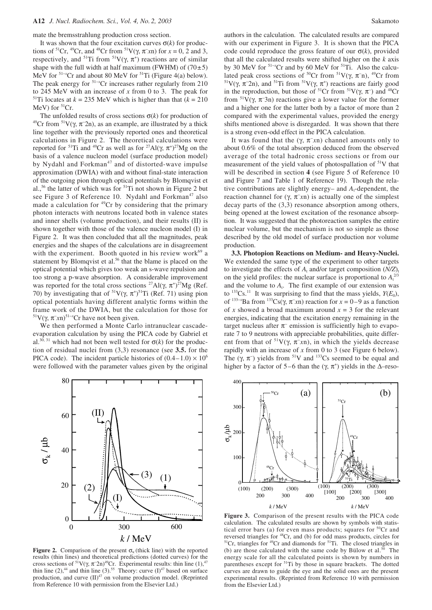mate the bremsstrahlung production cross section.

It was shown that the four excitation curves  $\sigma(k)$  for productions of <sup>51</sup>Cr, <sup>49</sup>Cr, and <sup>48</sup>Cr from <sup>51</sup>V( $\gamma$ ,  $\pi$  *x*n) for *x* = 0, 2 and 3, respectively, and <sup>51</sup>Ti from <sup>51</sup>V( $\gamma$ ,  $\pi$ <sup>+</sup>) reactions are of similar shape with the full width at half maximum (FWHM) of  $(70±5)$ MeV for <sup>51-*x*</sup>Cr and about 80 MeV for <sup>51</sup>Ti (Figure 4(a) below). The peak energy for 51<sup>−</sup>*<sup>x</sup>* Cr increases rather regularly from 210 to 245 MeV with an increase of *x* from 0 to 3. The peak for <sup>51</sup>Ti locates at  $k = 235$  MeV which is higher than that  $(k = 210$ MeV) for  ${}^{51}Cr$ .

The unfolded results of cross sections  $\sigma(k)$  for production of <sup>49</sup>Cr from <sup>51</sup>V(γ, π<sup>-</sup>2n), as an example, are illustrated by a thick line together with the previously reported ones and theoretical calculations in Figure 2. The theoretical calculations were reported for <sup>51</sup>Ti and <sup>49</sup>Cr as well as for <sup>27</sup>Al(γ,  $\pi$ <sup>+</sup>)<sup>27</sup>Mg on the basis of a valence nucleon model (surface production model) by Nydahl and Forkman<sup>47</sup> and of distorted-wave impulse approximation (DWIA) with and without final-state interaction of the outgoing pion through optical potentials by Blomqvist et al.,<sup>56</sup> the latter of which was for  $51$ Ti not shown in Figure 2 but see Figure 3 of Reference 10. Nydahl and Forkman<sup>47</sup> also made a calculation for  $^{49}Cr$  by considering that the primary photon interacts with neutrons located both in valence states and inner shells (volume production), and their results (II) is shown together with those of the valence nucleon model (I) in Figure 2. It was then concluded that all the magnitudes, peak energies and the shapes of the calculations are in disagreement with the experiment. Booth quoted in his review work $69$  a statement by Blomqvist et al.<sup>56</sup> that the blame is placed on the optical potential which gives too weak an s-wave repulsion and too strong a p-wave absorption. A considerable improvement was reported for the total cross sections <sup>27</sup>Al( $\gamma$ ,  $\pi$ <sup>+</sup>)<sup>27</sup>Mg (Ref. 70) by investigating that of <sup>51</sup>V(γ,  $\pi$ <sup>+</sup>)<sup>51</sup>Ti (Ref. 71) using pion optical potentials having different analytic forms within the frame work of the DWIA, but the calculation for those for <sup>51</sup>V(γ,  $\pi$ <sup>-x</sup>n)<sup>51-*x*</sup>Cr have not been given.

We then performed a Monte Carlo intranuclear cascadeevaporation calculation by using the PICA code by Gabriel et al.<sup>30, 31</sup> which had not been well tested for  $\sigma(k)$  for the production of residual nuclei from (3,3) resonance (see **3.5.** for the PICA code). The incident particle histories of  $(0.4-1.0) \times 10^6$ were followed with the parameter values given by the original

 $\sigma_{\rm k}$  /  $\mu{\rm b}$ 

20

(2)

(II)

 $\begin{smallmatrix}0&1\0&0\end{smallmatrix}$ 

40

60

80

**Figure 2.** Comparison of the present  $\sigma_{\kappa}$  (thick line) with the reported results (thin lines) and theoretical predictions (dotted curves) for the cross sections of <sup>51</sup>V( $\gamma$ ,  $\pi$ <sup>-2</sup>n)<sup>49</sup>Cr. Experimental results: thin line (1),<sup>47</sup> thin line (2),<sup>44</sup> and thin line (3).<sup>55</sup> Theory: curve (I)<sup>47</sup> based on surface production, and curve  $(II)^{47}$  on volume production model. (Reprinted from Reference 10 with permission from the Elsevier Ltd.)

*k* / MeV

 $^{(3)}$   $(1)$ 

0 300 600

(I)

authors in the calculation. The calculated results are compared with our experiment in Figure 3. It is shown that the PICA code could reproduce the gross feature of our  $\sigma(k)$ , provided that all the calculated results were shifted higher on the *k* axis by 30 MeV for <sup>51-*x*</sup>Cr and by 60 MeV for <sup>51</sup>Ti. Also the calculated peak cross sections of <sup>50</sup>Cr from <sup>51</sup>V( $\gamma$ ,  $\pi$ <sup>-</sup>n), <sup>49</sup>Cr from <sup>51</sup>V(γ, π<sup>-</sup>2n), and <sup>51</sup>Ti from <sup>51</sup>V(γ, π<sup>+</sup>) reactions are fairly good in the reproduction, but those of <sup>51</sup>Cr from <sup>51</sup>V( $\gamma$ ,  $\pi$ <sup>-</sup>) and <sup>48</sup>Cr from <sup>51</sup>V(γ,  $\pi$ <sup>-3</sup>n) reactions give a lower value for the former and a higher one for the latter both by a factor of more than 2 compared with the experimental values, provided the energy shifts mentioned above is disregarded. It was shown that there is a strong even-odd effect in the PICA calculation.

It was found that the (γ, π− *x*n) channel amounts only to about 0.6% of the total absorption deduced from the observed average of the total hadronic cross sections or from our measurement of the yield values of photospallation of <sup>51</sup>V that will be described in section **4** (see Figure 5 of Reference 10 and Figure 7 and Table 1 of Reference 19). Though the relative contributions are slightly energy– and  $A_t$ -dependent, the reaction channel for  $(γ, π<sup>−</sup> xn)$  is actually one of the simplest decay parts of the (3,3) resonance absorption among others, being opened at the lowest excitation of the resonance absorption. It was suggested that the photoreaction samples the entire nuclear volume, but the mechanism is not so simple as those described by the old model of surface production nor volume production.

**3.3. Photopion Reactions on Medium- and Heavy-Nuclei.** We extended the same type of the experiment to other targets to investigate the effects of  $A_t$  and/or target composition  $(N/Z)_t$ on the yield profiles: the nuclear surface is proportional to  $A_t^{2/3}$ and the volume to  $A_t$ . The first example of our extension was to <sup>133</sup>Cs.<sup>11</sup> It was surprising to find that the mass yields,  $Y(E_0)$ , of <sup>133–*x*</sup>Ba from <sup>133</sup>Cs(γ, π<sup>−</sup>*x*n) reaction for *x* = 0−9 as a function of *x* showed a broad maximum around  $x = 3$  for the relevant energies, indicating that the excitation energy remaining in the target nucleus after  $\pi^-$  emission is sufficiently high to evaporate 7 to 9 neutrons with appreciable probabilities, quite different from that of <sup>51</sup>V( $\gamma$ ,  $\pi$ <sup>-</sup>xn), in which the yields decrease rapidly with an increase of *x* from 0 to 3 (see Figure 6 below). The  $(\gamma, \pi^{-})$  yields from <sup>51</sup>V and <sup>133</sup>Cs seemed to be equal and higher by a factor of 5–6 than the  $(\gamma, \pi^+)$  yields in the  $\Delta$ –reso-



**Figure 3.** Comparison of the present results with the PICA code calculation. The calculated results are shown by symbols with statistical error bars (a) for even mass products; squares for  ${}^{50}Cr$  and reversed triangles for 48Cr, and (b) for odd mass products, circles for <sup>51</sup>Cr, triangles for <sup>49</sup>Cr and diamonds for <sup>51</sup>Ti. The closed triangles in (b) are those calculated with the same code by Bülow et al.<sup>50</sup> The energy scale for all the calculated points is shown by numbers in parentheses except for <sup>51</sup>Ti by those in square brackets. The dotted curves are drawn to guide the eye and the solid ones are the present experimental results. (Reprinted from Reference 10 with permission from the Elsevier Ltd.)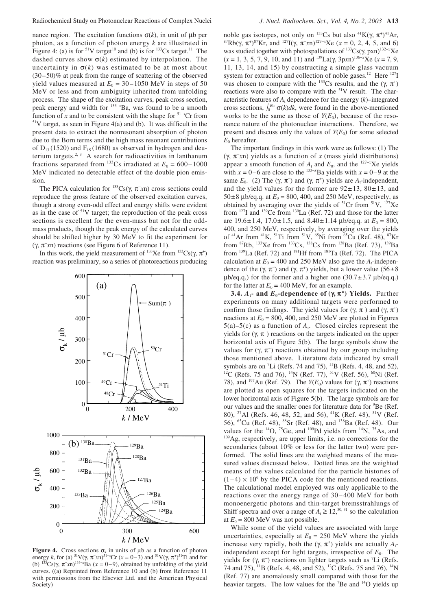nance region. The excitation functions  $\sigma(k)$ , in unit of  $\mu$ b per photon, as a function of photon energy *k* are illustrated in Figure 4: (a) is for <sup>51</sup>V target<sup>10</sup> and (b) is for <sup>133</sup>Cs target.<sup>11</sup> The dashed curves show  $\sigma(k)$  estimated by interpolation. The uncertainty in  $\sigma(k)$  was estimated to be at most about (30–50)% at peak from the range of scattering of the observed yield values measured at  $E_0 = 30 - 1050$  MeV in steps of 50 MeV or less and from ambiguity inherited from unfolding process. The shape of the excitation curves, peak cross section, peak energy and width for 133<sup>−</sup>*<sup>x</sup>* Ba, was found to be a smooth function of *x* and to be consistent with the shape for 51<sup>−</sup>*<sup>x</sup>* Cr from  $51$ V target, as seen in Figure 4(a) and (b). It was difficult in the present data to extract the nonresonant absorption of photon due to the Born terms and the high mass resonant contributions of  $D_{13}$  (1520) and  $F_{15}$  (1680) as observed in hydrogen and deuterium targets.<sup>2, 3</sup> A search for radioactivities in lanthanum fractions separated from <sup>133</sup>Cs irradiated at  $E_0 = 600 - 1000$ MeV indicated no detectable effect of the double pion emission.

The PICA calculation for <sup>133</sup>Cs( $\gamma$ ,  $\pi$ <sup>-</sup>xn) cross sections could reproduce the gross feature of the observed excitation curves, though a strong even-odd effect and energy shifts were evident as in the case of 51V target; the reproduction of the peak cross sections is excellent for the even-mass but not for the oddmass products, though the peak energy of the calculated curves should be shifted higher by 30 MeV to fit the experiment for (γ, π− *x*n) reactions (see Figure 6 of Reference 11).

In this work, the yield measurement of  $^{133}$ Xe from  $^{133}Cs(\gamma, \pi^+)$ reaction was preliminary, so a series of photoreactions producing



**Figure 4.** Cross sections  $\sigma_k$  in units of  $\mu$ b as a function of photon energy *k*, for (a) <sup>51</sup>V( $\gamma$ ,  $\pi$ <sup>-x</sup>n)<sup>51-*x*</sup>Cr ( $x$  = 0–3) and <sup>51</sup>V( $\gamma$ ,  $\pi$ <sup>+</sup>)<sup>51</sup>Ti and for (b) <sup>133</sup>Cs(γ, π<sup>−</sup>*x*n)<sup>133−*x*</sup>Ba (*x* = 0−9), obtained by unfolding of the yield curves. ((a) Reprinted from Reference 10 and (b) from Reference 11 with permissions from the Elsevier Ltd. and the American Physical Society)

noble gas isotopes, not only on <sup>133</sup>Cs but also <sup>41</sup>K(γ, π<sup>+</sup>)<sup>41</sup>Ar, <sup>87</sup>Rb(γ, π<sup>+</sup>)<sup>87</sup>Kr, and <sup>127</sup>I(γ, π<sup>-</sup>xn)<sup>127-*x*</sup>Xe (x = 0, 2, 4, 5, and 6) was studied together with photospallations of <sup>133</sup>Cs(γ, pxn)<sup>132–*x*</sup>Xe  $(x = 1, 3, 5, 7, 9, 10, \text{ and } 11)$  and <sup>139</sup>La(γ, 3pxn)<sup>136−*x*</sup>Xe (*x* = 7, 9, 11, 13, 14, and 15) by constructing a simple glass vacuum system for extraction and collection of noble gases.<sup>12</sup> Here <sup>127</sup>I was chosen to compare with the <sup>133</sup>Cs results, and the  $(\gamma, \pi^+)$ reactions were also to compare with the 51V result. The characteristic features of  $A_t$  dependence for the energy  $(k)$ –integrated cross sections,  $\int_0^{E_o} \sigma(k)dk$ , were found in the above-mentioned works to be the same as those of  $Y(E_0)$ , because of the resonance nature of the photonuclear interactions. Therefore, we present and discuss only the values of  $Y(E_0)$  for some selected *E*<sup>0</sup> hereafter.

The important findings in this work were as follows: (1) The (γ, π− *x*n) yields as a function of *x* (mass yield distributions) appear a smooth function of  $A_t$  and  $E_0$ , and the <sup>127−*x*</sup>Xe yields with  $x = 0-6$  are close to the <sup>133–*x*</sup>Ba yields with  $x = 0-9$  at the same  $E_0$ . (2) The ( $\gamma$ ,  $\pi^-$ ) and ( $\gamma$ ,  $\pi^+$ ) yields are  $A_t$ -independent, and the yield values for the former are  $92 \pm 13$ ,  $80 \pm 13$ , and  $50\pm8$  µb/eq.q. at  $E_0 = 800$ , 400, and 250 MeV, respectively, as obtained by averaging over the yields of  ${}^{51}Cr$  from  ${}^{51}V$ ,  ${}^{127}Xe$ from  $^{127}$ I and  $^{139}$ Ce from  $^{139}$ La (Ref. 72) and those for the latter are  $19.6 \pm 1.4$ ,  $17.0 \pm 1.5$ , and  $8.40 \pm 1.14$   $\mu$ b/eq.q. at  $E_0 = 800$ , 400, and 250 MeV, respectively, by averaging over the yields of  $^{41}$ Ar from  $^{41}$ K,  $^{51}$ Ti from  $^{51}$ V,  $^{65}$ Ni from  $^{65}$ Cu (Ref. 48),  $^{87}$ Kr from  ${}^{87}Rb$ ,  ${}^{133}Xe$  from  ${}^{133}Cs$ ,  ${}^{138}Cs$  from  ${}^{138}Ba$  (Ref. 73),  ${}^{139}Ba$ from <sup>139</sup>La (Ref. 72) and <sup>181</sup>Hf from <sup>181</sup>Ta (Ref. 72). The PICA calculation at  $E_0 = 400$  and 250 MeV also gave the  $A_t$ -independence of the  $(\gamma, \pi^{-})$  and  $(\gamma, \pi^{+})$  yields, but a lower value (56 ± 8)  $\mu b / \text{eq}.q.$ ) for the former and a higher one (30.7 $\pm$ 3.7  $\mu b / \text{eq}.q.$ ) for the latter at  $E_0 = 400 \text{ MeV}$ , for an example.

**3.4.**  $A_t$ - and  $E_0$ -dependence of  $(\gamma, \pi^{\pm})$  Yields. Further experiments on many additional targets were performed to confirm those findings. The yield values for  $(γ, π<sup>−</sup>)$  and  $(γ, π<sup>+</sup>)$ reactions at  $E_0 = 800$ , 400, and 250 MeV are plotted in Figures  $5(a)$ – $5(c)$  as a function of  $A_t$ . Closed circles represent the yields for  $(γ, π<sup>-</sup>)$  reactions on the targets indicated on the upper horizontal axis of Figure 5(b). The large symbols show the values for  $(γ, π<sup>-</sup>)$  reactions obtained by our group including those mentioned above. Literature data indicated by small symbols are on  ${}^{7}Li$  (Refs. 74 and 75),  ${}^{11}B$  (Refs. 4, 48, and 52), <sup>12</sup>C (Refs. 75 and 76), <sup>14</sup>N (Ref. 77), <sup>51</sup>V (Ref. 56), <sup>60</sup>Ni (Ref. 78), and <sup>197</sup>Au (Ref. 79). The *Y*(*E*<sub>0</sub>) values for (γ, π<sup>+</sup>) reactions are plotted as open squares for the targets indicated on the lower horizontal axis of Figure 5(b). The large symbols are for our values and the smaller ones for literature data for <sup>9</sup>Be (Ref. 80), <sup>27</sup>Al (Refs. 46, 48, 52, and 56), <sup>41</sup>K (Ref. 48), <sup>51</sup>V (Ref. 56), 65Cu (Ref. 48), 88Sr (Ref. 48), and 138Ba (Ref. 48). Our values for the  $^{14}O$ , <sup>75</sup>Ge, and  $^{109}Pd$  yields from  $^{14}N$ , <sup>75</sup>As, and 109Ag, respectively, are upper limits, i.e. no corrections for the secondaries (about 10% or less for the latter two) were performed. The solid lines are the weighted means of the measured values discussed below. Dotted lines are the weighted means of the values calculated for the particle histories of  $(1-4) \times 10^6$  by the PICA code for the mentioned reactions. The calculational model employed was only applicable to the reactions over the energy range of 30 – 400 MeV for both monoenergetic photons and thin-target bremsstrahlungs of Shiff spectra and over a range of  $A_t \ge 12$ ,<sup>30, 31</sup> so the calculation at  $E_0 = 800$  MeV was not possible.

While some of the yield values are associated with large uncertainties, especially at  $E_0 = 250$  MeV where the yields increase very rapidly, both the  $(\gamma, \pi^+)$  yields are actually  $A_t$ independent except for light targets, irrespective of  $E_0$ . The yields for  $(γ, π<sup>-</sup>)$  reactions on lighter targets such as <sup>7</sup>Li (Refs. 74 and 75), <sup>11</sup>B (Refs. 4, 48, and 52), <sup>12</sup>C (Refs. 75 and 76), <sup>14</sup>N (Ref. 77) are anomalously small compared with those for the heavier targets. The low values for the <sup>7</sup>Be and <sup>14</sup>O yields up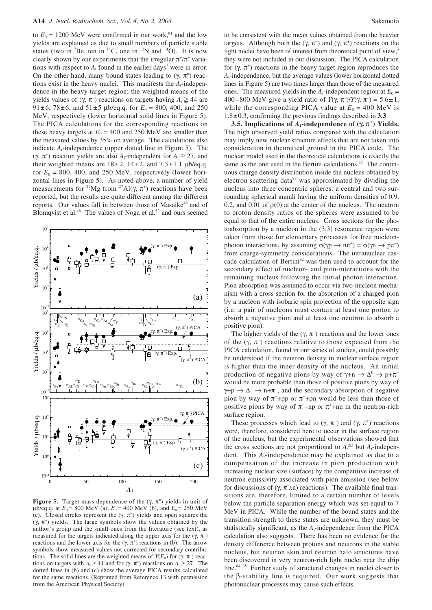to  $E_0 = 1200$  MeV were confirmed in our work,<sup>81</sup> and the low yields are explained as due to small numbers of particle stable states (two in <sup>7</sup>Be, ten in <sup>11</sup>C, one in <sup>12</sup>N and <sup>14</sup>O). It is now clearly shown by our experiments that the irregular  $\pi^*/\pi^-$  variations with respect to  $A_t$  found in the earlier days<sup>7</sup> were in error. On the other hand, many bound states leading to  $(γ, π<sup>±</sup>)$  reactions exist in the heavy nuclei. This manifests the  $A_t$ -independence in the heavy target region; the weighted means of the yields values of (γ,  $\pi$ <sup>-</sup>) reactions on targets having  $A_t$  ≥ 44 are 91 $\pm$ 6, 78 $\pm$ 6, and 51 $\pm$ 5 µb/eq.q. for  $E_0 = 800$ , 400, and 250 MeV, respectively (lower horizontal solid lines in Figure 5). The PICA calculations for the corresponding reactions on these heavy targets at  $E_0 = 400$  and 250 MeV are smaller than the measured values by 35% on average. The calculations also indicate  $A_t$ -independence (upper dotted line in Figure 5). The (γ,  $\pi^+$ ) reaction yields are also *A*<sub>t</sub>-independent for *A*<sub>t</sub> ≥ 27, and their weighted means are  $18 \pm 2$ ,  $14 \pm 2$ , and  $7.3 \pm 1.1$   $\mu$ b/eq.q. for  $E_0 = 800$ , 400, and 250 MeV, respectively (lower horizontal lines in Figure 5). As noted above, a number of yield measurements for <sup>27</sup>Mg from <sup>27</sup>Al( $\gamma$ ,  $\pi$ <sup>+</sup>) reactions have been reported, but the results are quite different among the different reports. Our values fall in between those of Masaike<sup>46</sup> and of Blomqvist et al. $48$  The values of Noga et al. $52$  and ours seemed



**Figure 5.** Target mass dependence of the  $(\gamma, \pi^*)$  yields in unit of  $\mu$ b/eq.q. at  $E_0 = 800$  MeV (a),  $E_0 = 400$  MeV (b), and  $E_0 = 250$  MeV (c). Closed circles represent the (γ, π− ) yields and open squares the (γ,  $\pi^+$ ) yields. The large symbols show the values obtained by the author's group and the small ones from the literature (see text), as measured for the targets indicated along the upper axis for the  $(\gamma, \pi^{-})$ reactions and the lower axis for the  $(\gamma, \pi^+)$  reactions in (b). The arrow symbols show measured values not corrected for secondary contributions. The solid lines are the weighted means of  $Y(E_0)$  for  $(γ, π<sup>-</sup>)$  reactions on targets with  $A_t \ge 44$  and for  $(\gamma, \pi^+)$  reactions on  $A_t \ge 27$ . The dotted lines in (b) and (c) show the average PICA results calculated for the same reactions. (Reprinted from Reference 13 with permission from the American Physical Society)

to be consistent with the mean values obtained from the heavier targets. Although both the  $(γ, π<sup>−</sup>)$  and  $(γ, π<sup>+</sup>)$  reactions on the light nuclei have been of interest from theoretical point of view, $3$ they were not included in our discussion. The PICA calculation for  $(γ, π<sup>+</sup>)$  reactions in the heavy target region reproduces the *A*t-independence, but the average values (lower horizontal dotted lines in Figure 5) are two times larger than those of the measured ones. The measured yields in the  $A_t$ -independent region at  $E_0 =$ 400–800 MeV give a yield ratio of *Y*(γ, π<sup>-</sup>)/*Y*(γ, π<sup>+</sup>) = 5.6±1, while the corresponding PICA value at  $E_0 = 400$  MeV is 1.8±0.3, confirming the previous findings described in **3.3**.

**3.5.** Implications of  $A_t$ -independence of  $(\gamma, \pi^{\pm})$  Yields. The high observed yield ratios compared with the calculation may imply new nuclear structure effects that are not taken into consideration in theoretical ground in the PICA code. The nuclear model used in the theoretical calculations is exactly the same as the one used in the Bertini calculations.<sup>82</sup> The continuous charge density distribution inside the nucleus obtained by electron scattering data $83$  was approximated by dividing the nucleus into three concentric spheres: a central and two surrounding spherical annuli having the uniform densities of 0.9, 0.2, and 0.01 of  $p(0)$  at the center of the nucleus. The neutron to proton density ratios of the spheres were assumed to be equal to that of the entire nucleus. Cross sections for the photoabsorption by a nucleon in the (3,3) resonance region were taken from those for elementary processes for free nucleonphoton interactions, by assuming  $\sigma(\gamma p \to n\pi^+) = \sigma(\gamma n \to p\pi^-)$ from charge-symmetry considerations. The intranuclear cascade calculation of Bertini<sup>82</sup> was then used to account for the secondary effect of nucleon- and pion-interactions with the remaining nucleus following the initial photon interaction. Pion absorption was assumed to occur via two-nucleon mechanism with a cross section for the absorption of a charged pion by a nucleon with isobaric spin projection of the opposite sign (i.e. a pair of nucleons must contain at least one proton to absorb a negative pion and at least one neutron to absorb a positive pion).

The higher yields of the  $(\gamma, \pi^-)$  reactions and the lower ones of the  $(\gamma, \pi^+)$  reactions relative to those expected from the PICA calculation, found in our series of studies, could possibly be understood if the neutron density in nuclear surface region is higher than the inner density of the nucleus. An initial production of negative pions by way of  $\gamma$ +n  $\rightarrow \Delta^0 \rightarrow p+\pi^$ would be more probable than those of positive pions by way of  $\gamma+p \to \Delta^+ \to n+\pi^+$ , and the secondary absorption of negative pion by way of  $\pi$ <sup>-</sup>+pp or  $\pi$ <sup>-+</sup>+pn would be less than those of positive pions by way of  $\pi^+$ +np or  $\pi^+$ +nn in the neutron-rich surface region.

These processes which lead to  $(\gamma, \pi^{-})$  and  $(\gamma, \pi^{+})$  reactions were, therefore, considered here to occur in the surface region of the nucleus, but the experimental observations showed that the cross sections are not proportional to  $A_t^{2/3}$  but  $A_t$ -independent. This A<sub>t</sub>-independence may be explained as due to a compensation of the increase in pion production with increasing nuclear size (surface) by the competitive increase of neutron emissivity associated with pion emission (see below for discussions of (γ, π− *x*n) reactions). The available final transitions are, therefore, limited to a certain number of levels below the particle separation energy which was set equal to 7 MeV in PICA. While the number of the bound states and the transition strength to these states are unknown, they must be statistically significant, as the  $A_t$ -independence from the PICA calculation also suggests. There has been no evidence for the density difference between protons and neutrons in the stable nucleus, but neutron skin and neutron halo structures have been discovered in very neutron-rich light nuclei near the drip line.<sup>84, 85</sup> Further study of structural changes in nuclei closer to the β-stability line is required. Our work suggests that photonuclear processes may cause such effects.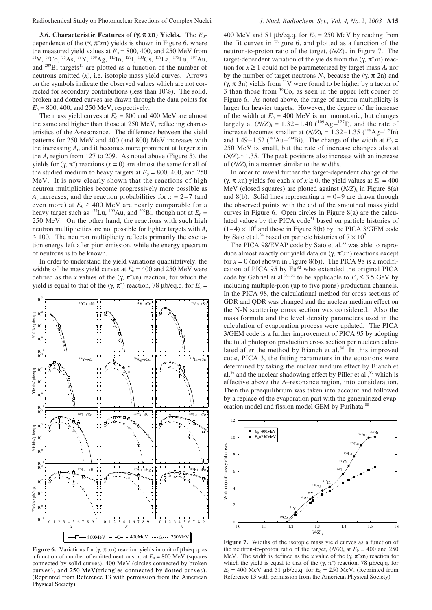**3.6. Characteristic Features of**  $(\gamma, \pi x)$  **Yields.** The  $E_0$ dependence of the  $(\gamma, \pi^-\overline{x})$  yields is shown in Figure 6, where the measured yield values at  $E_0 = 800$ , 400, and 250 MeV from 51V, 59Co, 75As, 89Y, 109Ag, 115In, 127I, 133Cs, 139La, 175Lu, 197Au, and  $209$ Bi targets<sup>13</sup> are plotted as a function of the number of neutrons emitted  $(x)$ , i.e. isotopic mass yield curves. Arrows on the symbols indicate the observed values which are not corrected for secondary contributions (less than 10%). The solid, broken and dotted curves are drawn through the data points for  $E_0 = 800$ , 400, and 250 MeV, respectively.

The mass yield curves at  $E_0 = 800$  and 400 MeV are almost the same and higher than those at 250 MeV, reflecting characteristics of the ∆-resonance. The difference between the yield patterns for 250 MeV and 400 (and 800) MeV increases with the increasing  $A_t$ , and it becomes more prominent at larger  $x$  in the  $A_t$  region from 127 to 209. As noted above (Figure 5), the yields for  $(γ, π<sup>−</sup>)$  reactions  $(x = 0)$  are almost the same for all of the studied medium to heavy targets at  $E_0 = 800, 400,$  and 250 MeV. It is now clearly shown that the reactions of high neutron multiplicities become progressively more possible as  $A_t$  increases, and the reaction probabilities for  $x = 2-7$  (and even more) at  $E_0 \ge 400$  MeV are nearly comparable for a heavy target such as <sup>175</sup>Lu, <sup>199</sup>Au, and <sup>209</sup>Bi, though not at  $E_0$  = 250 MeV. On the other hand, the reactions with such high neutron multiplicities are not possible for lighter targets with  $A_t$  $\leq$  100. The neutron multiplicity reflects primarily the excitation energy left after pion emission, while the energy spectrum of neutrons is to be known.

In order to understand the yield variations quantitatively, the widths of the mass yield curves at  $E_0 = 400$  and 250 MeV were defined as the *x* values of the  $(\gamma, \pi^-\bar{x})$  reaction, for which the yield is equal to that of the  $(γ, π<sup>-</sup>)$  reaction, 78 μb/eq.q. for  $E_0 =$ 



**Figure 6.** Variations for  $(\gamma, \pi^-\pi)$  reaction yields in unit of  $\mu$ b/eq.q. as a function of number of emitted neutrons,  $x$ , at  $E_0 = 800$  MeV (squares connected by solid curves), 400 MeV (circles connected by broken curves), and 250 MeV(triangles connected by dotted curves). (Reprinted from Reference 13 with permission from the American Physical Society)

400 MeV and 51  $\mu$ b/eq.q. for  $E_0 = 250$  MeV by reading from the fit curves in Figure 6, and plotted as a function of the neutron-to-proton ratio of the target,  $(N/Z)$ <sub>t</sub>, in Figure 7. The target-dependent variation of the yields from the (γ, π− *x*n) reaction for  $x \ge 1$  could not be parameterized by target mass  $A_t$  nor by the number of target neutrons  $N_t$ , because the (γ,  $\pi$ <sup>-2</sup>n) and (γ,  $\pi$ <sup>-3</sup>n) yields from <sup>51</sup>V were found to be higher by a factor of  $3$  than those from  $59$ Co, as seen in the upper left corner of Figure 6. As noted above, the range of neutron multiplicity is larger for heavier targets. However, the degree of the increase of the width at  $E_0 = 400$  MeV is not monotonic, but changes largely at  $(N/Z)_t = 1.32 - 1.40$  (<sup>109</sup>Ag<sup>-127</sup>I), and the rate of increase becomes smaller at  $(N/Z)$ <sub>t</sub> = 1.32–1.35 (<sup>109</sup>Ag–<sup>115</sup>In) and  $1.49-1.52$  (<sup>197</sup>Au<sup>-209</sup>Bi). The change of the width at  $E_0 =$ 250 MeV is small, but the rate of increase changes also at  $(N/Z)$ <sub>t</sub> ≈1.35. The peak positions also increase with an increase of  $(N/Z)$ <sub>t</sub> in a manner similar to the widths.

In order to reveal further the target-dependent change of the (γ,  $π<sup>−</sup>xn$ ) yields for each *x* of *x* ≥ 0, the yield values at  $E<sub>0</sub> = 400$ MeV (closed squares) are plotted against  $(N/Z)$ <sub>t</sub> in Figure 8(a) and 8(b). Solid lines representing  $x = 0-9$  are drawn through the observed points with the aid of the smoothed mass yield curves in Figure 6. Open circles in Figure 8(a) are the calculated values by the PICA code<sup>31</sup> based on particle histories of  $(1-4) \times 10^6$  and those in Figure 8(b) by the PICA 3/GEM code by Sato et al.<sup>34</sup> based on particle histories of  $7 \times 10^7$ .

The PICA 98/EVAP code by Sato et al.<sup>33</sup> was able to reproduce almost exactly our yield data on (γ, π− *x*n) reactions except for  $x = 0$  (not shown in Figure 8(b)). The PICA 98 is a modification of PICA 95 by Fu<sup>32</sup> who extended the original PICA code by Gabriel et al.<sup>30, 31</sup> to be applicable to  $E_0 \leq 3.5$  GeV by including multiple-pion (up to five pions) production channels. In the PICA 98, the calculational method for cross sections of GDR and QDR was changed and the nuclear medium effect on the N-N scattering cross section was considered. Also the mass formula and the level density parameters used in the calculation of evaporation process were updated. The PICA 3/GEM code is a further improvement of PICA 95 by adopting the total photopion production cross section per nucleon calculated after the method by Bianch et al.<sup>86</sup> In this improved code, PICA 3, the fitting parameters in the equations were determined by taking the nuclear medium effect by Bianch et  $al.^{86}$  and the nuclear shadowing effect by Piller et al., $87$  which is effective above the ∆–resonance region, into consideration. Then the preequilibrium was taken into account and followed by a replace of the evaporation part with the generalrized evaporation model and fission model GEM by Furihata.<sup>88</sup>



**Figure 7.** Widths of the isotopic mass yield curves as a function of the neutron-to-proton ratio of the target,  $(N/Z)$ <sub>t</sub> at  $E_0 = 400$  and 250 MeV. The width is defined as the *x* value of the  $(\gamma, \pi^-\overline{x})$  reaction for which the yield is equal to that of the  $(\gamma, \pi^{-})$  reaction, 78 µb/eq.q. for  $E_0 = 400$  MeV and 51  $\mu$ b/eq.q. for  $E_0 = 250$  MeV. (Reprinted from Reference 13 with permission from the American Physical Society)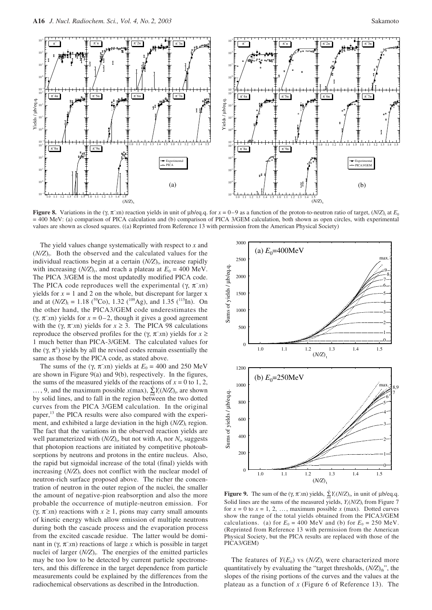

**Figure 8.** Variations in the ( $\gamma$ ,  $\pi$  *x*n) reaction yields in unit of µb/eq.q. for  $x = 0-9$  as a function of the proton-to-neutron ratio of target, (*N*/*Z*)<sub>t</sub> at *E*<sub>0</sub> = 400 MeV: (a) comparison of PICA calculation and (b) comparison of PICA 3/GEM calculation, both shown as open circles, with experimental values are shown as closed squares. ((a) Reprinted from Reference 13 with permission from the American Physical Society)

The yield values change systematically with respect to *x* and  $(N/Z)_t$ . Both the observed and the calculated values for the individual reactions begin at a certain ( $N/Z$ )<sub>t</sub>, increase rapidly with increasing  $(N/Z)$ <sub>t</sub>, and reach a plateau at  $E_0 = 400$  MeV. The PICA 3/GEM is the most updatedly modified PICA code. The PICA code reproduces well the experimental (γ, π− *x*n) yields for  $x = 1$  and 2 on the whole, but discrepant for larger x and at  $(N/Z)_t = 1.18$  (<sup>59</sup>Co), 1.32 (<sup>109</sup>Ag), and 1.35 (<sup>115</sup>In). On the other hand, the PICA3/GEM code underestimates the (γ, π− *x*n) yields for *x* = 0–2, though it gives a good agreement with the  $(\gamma, \pi^-\overline{x})$  yields for  $x \geq 3$ . The PICA 98 calculations reproduce the observed profiles for the (γ, π− *x*n) yields for *x* ≥ 1 much better than PICA-3/GEM. The calculated values for the  $(\gamma, \pi^{\pm})$  yields by all the revised codes remain essentially the same as those by the PICA code, as stated above.

The sums of the  $(\gamma, \pi^-\pi x)$  yields at  $E_0 = 400$  and 250 MeV are shown in Figure 9(a) and 9(b), respectively. In the figures, the sums of the measured yields of the reactions of  $x = 0$  to 1, 2, ..., 9, and the maximum possible  $x$ (max),  $\sum_{n=1}^{\infty} Y_i (N/Z)_t$ , are shown by solid lines, and to fall in the region between the two dotted curves from the PICA 3/GEM calculation. In the original paper,<sup>13</sup> the PICA results were also compared with the experiment, and exhibited a large deviation in the high  $(N/Z)$ <sub>t</sub> region. The fact that the variations in the observed reaction yields are well parameterized with  $(N/Z)$ <sub>t</sub>, but not with  $A_t$  nor  $N_t$ , suggests that photopion reactions are initiated by competitive photoabsorptions by neutrons and protons in the entire nucleus. Also, the rapid but sigmoidal increase of the total (final) yields with increasing  $(N/Z)$ <sub>t</sub> does not conflict with the nuclear model of neutron-rich surface proposed above. The richer the concentration of neutron in the outer region of the nuclei, the smaller the amount of negative-pion reabsorption and also the more probable the occurrence of mutiple-neutron emission. For (γ, π− *x*n) reactions with *x* ≥ 1, pions may carry small amounts of kinetic energy which allow emission of multiple neutrons during both the cascade process and the evaporation process from the excited cascade residue. The latter would be dominant in (γ, π− *x*n) reactions of large *x* which is possible in target nuclei of larger (*N/Z*)<sub>t</sub>. The energies of the emitted particles may be too low to be detected by current particle spectrometers, and this difference in the target dependence from particle measurements could be explained by the differences from the radiochemical observations as described in the Introduction.



**Figure 9.** The sum of the  $(\gamma, \pi^T x n)$  yields,  $\sum_{i=1}^{x} Y_i (N/Z)_t$ , in unit of  $\mu b/eq.q$ . Solid lines are the sums of the measured yields,  $Y_i(N/Z)$ <sub>t</sub> from Figure 7 for  $x = 0$  to  $x = 1, 2, \ldots$ , maximum possible  $x$  (max). Dotted curves show the range of the total yields obtained from the PICA3/GEM calculations. (a) for  $E_0 = 400$  MeV and (b) for  $E_0 = 250$  MeV. (Reprinted from Reference 13 with permission from the American Physical Society, but the PICA results are replaced with those of the PICA3/GEM)

The features of  $Y(E_0)$  vs  $(N/Z)_t$  were characterized more quantitatively by evaluating the "target thresholds,  $(N/Z)_{th}$ ", the slopes of the rising portions of the curves and the values at the plateau as a function of *x* (Figure 6 of Reference 13). The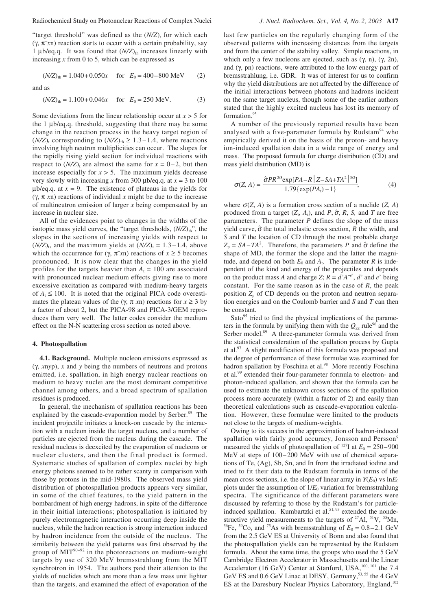"target threshold" was defined as the  $(N/Z)$ <sub>t</sub> for which each (γ, π− *x*n) reaction starts to occur with a certain probability, say 1  $\mu$ b/eq.q. It was found that  $(N/Z)_{th}$  increases linearly with

increasing 
$$
x
$$
 from 0 to 5, which can be expressed as

$$
(N/Z)_{\text{th}} = 1.040 + 0.050x \quad \text{for} \quad E_0 = 400 - 800 \text{ MeV} \tag{2}
$$

and as

$$
(N/Z)_{\text{th}} = 1.100 + 0.046x \quad \text{for} \quad E_0 = 250 \text{ MeV}. \tag{3}
$$

Some deviations from the linear relationship occur at *x* > 5 for the 1 µb/eq.q. threshold, suggesting that there may be some change in the reaction process in the heavy target region of  $(N/Z)$ <sub>t</sub> corresponding to  $(N/Z)_{th} \ge 1.3 - 1.4$ , where reactions involving high neutron multiplicities can occur. The slopes for the rapidly rising yield section for individual reactions with respect to  $(N/Z)$ <sub>t</sub> are almost the same for  $x = 0-2$ , but then increase especially for  $x > 5$ . The maximum yields decrease very slowly with increasing *x* from 300  $\mu$ b/eq.q. at  $x = 3$  to 100  $\mu b$ /eq.q. at  $x = 9$ . The existence of plateaus in the yields for (γ, π− *x*n) reactions of individual *x* might be due to the increase of multineutron emission of larger *x* being compensated by an increase in nuclear size.

All of the evidences point to changes in the widths of the isotopic mass yield curves, the "target thresholds,  $(N/Z)_{th}$ ", the slopes in the sections of increasing yields with respect to  $(N/Z)$ <sub>t</sub>, and the maximum yields at  $(N/Z)$ <sub>t</sub> = 1.3–1.4, above which the occurrence for  $(\gamma, \pi^-\bar{x})$  reactions of  $x \geq 5$  becomes pronounced. It is now clear that the changes in the yield profiles for the targets heavier than  $A_t = 100$  are associated with pronounced nuclear medium effects giving rise to more excessive excitation as compared with medium-heavy targets of  $A_t \leq 100$ . It is noted that the original PICA code overestimates the plateau values of the (γ,  $π^x$ xn) reactions for  $x ≥ 3$  by a factor of about 2, but the PICA-98 and PICA-3/GEM reproduces them very well. The latter codes consider the medium effect on the N-N scattering cross section as noted above.

# **4. Photospallation**

**4.1. Background.** Multiple nucleon emissions expressed as (γ, *x*n*y*p), *x* and *y* being the numbers of neutrons and protons emitted, i.e. spallation, in high energy nuclear reactions on medium to heavy nuclei are the most dominant competitive channel among others, and a broad spectrum of spallation residues is produced.

In general, the mechanism of spallation reactions has been explained by the cascade-evaporation model by Serber.<sup>89</sup> The incident projectile initiates a knock-on cascade by the interaction with a nucleon inside the target nucleus, and a number of particles are ejected from the nucleus during the cascade. The residual nucleus is deexcited by the evaporation of nucleons or nuclear clusters, and then the final product is formed. Systematic studies of spallation of complex nuclei by high energy photons seemed to be rather scanty in comparison with those by protons in the mid-1980s. The observed mass yield distribution of photospallation products appears very similar, in some of the chief features, to the yield pattern in the bombardment of high energy hadrons, in spite of the difference in their initial interactions; photospallation is initiated by purely electromagnetic interaction occurring deep inside the nucleus, while the hadron reaction is strong interaction induced by hadron incidence from the outside of the nucleus. The similarity between the yield patterns was first observed by the group of MIT<sup>90−92</sup> in the photoreactions on medium-weight targets by use of 320 MeV bremsstrahlung from the MIT synchrotron in 1954. The authors paid their attention to the yields of nuclides which are more than a few mass unit lighter than the targets, and examined the effect of evaporation of the

last few particles on the regularly changing form of the observed patterns with increasing distances from the targets and from the center of the stability valley. Simple reactions, in which only a few nucleons are ejected, such as  $(\gamma, n)$ ,  $(\gamma, 2n)$ , and  $(\gamma, pn)$  reactions, were attributed to the low energy part of bremsstrahlung, i.e. GDR. It was of interest for us to confirm why the yield distributions are not affected by the difference of the initial interactions between photons and hadrons incident on the same target nucleus, though some of the earlier authors stated that the highly excited nucleus has lost its memory of formation<sup>93</sup>

A number of the previously reported results have been analysed with a five-parameter formula by Rudstam<sup>94</sup> who empirically derived it on the basis of the proton- and heavy ion-induced spallation data in a wide range of energy and mass. The proposed formula for charge distribution (CD) and mass yield distribution (MD) is

$$
\sigma(Z, A) = \frac{\hat{\sigma}PR^{2/3} \exp[PA - R | Z - SA + TA^2|^{3/2}]}{1.79 \{ \exp(PA_t) - 1 \}},
$$
(4)

where  $\sigma(Z, A)$  is a formation cross section of a nuclide  $(Z, A)$ produced from a target  $(Z_t, A_t)$ , and *P*,  $\hat{\sigma}$ , *R*, *S*, and *T* are free parameters. The parameter *P* defines the slope of the mass yield curve,  $\hat{\sigma}$  the total inelastic cross section, *R* the width, and *S* and *T* the location of CD through the most probable charge  $Z_p = SA - TA^2$ . Therefore, the parameters *P* and  $\hat{\sigma}$  define the shape of MD, the former the slope and the latter the magnitude, and depend on both  $E_0$  and  $A_t$ . The parameter  $R$  is independent of the kind and energy of the projectiles and depends on the product mass *A* and charge *Z*;  $R = d'A^{-e'}$ , *d'* and *e'* being constant. For the same reason as in the case of *R*, the peak position  $Z_p$  of CD depends on the proton and neutron separation energies and on the Coulomb barrier and *S* and *T* can then be constant.

Sato<sup>95</sup> tried to find the physical implications of the parameters in the formula by unifying them with the  $Q_{gg}$  rule<sup>96</sup> and the Serber model.<sup>89</sup> A three-parameter formula was derived from the statistical consideration of the spallation process by Gupta et al.97 A slight modification of this formula was proposed and the degree of performance of these formulae was examined for hadron spallation by Foschina et al.<sup>98</sup> More recently Foschina et al.99 extended their four-parameter formula to electron- and photon-induced spallation, and shown that the formula can be used to estimate the unknown cross sections of the spallation process more accurately (within a factor of 2) and easily than theoretical calculations such as cascade-evaporation calculation. However, these formulae were limited to the products not close to the targets of medium-weights.

Owing to its success in the approximation of hadron-induced spallation with fairly good accuracy, Jonsson and Persson<sup>9</sup> measured the yields of photospallation of  $^{127}$ I at  $E_0 = 250 - 900$ MeV at steps of 100–200 MeV with use of chemical separations of Te, (Ag), Sb, Sn, and In from the irradiated iodine and tried to fit their data to the Rudstam formula in terms of the mean cross sections, i.e. the slope of linear array in  $Y(E_0)$  vs  $\ln E_0$ plots under the assumption of  $1/E_0$  variation for bremsstrahlung spectra. The significance of the different parameters were discussed by referring to those by the Rudstam's for particleinduced spallation. Kumbartzki et al.<sup>51, 93</sup> extended the nondestructive yield measurements to the targets of  $^{27}$ Al,  $^{51}$ V,  $^{55}$ Mn, <sup>56</sup>Fe, <sup>59</sup>Co, and <sup>75</sup>As with bremsstrahlung of  $E_0 = 0.8-2.1$  GeV from the 2.5 GeV ES at University of Bonn and also found that the photospallation yields can be represented by the Rudstam formula. About the same time, the groups who used the 5 GeV Cambridge Electron Accelerator in Massachusetts and the Linear Accelerator (16 GeV) Center at Stanford, USA,<sup>100, 101</sup> the 7.4 GeV ES and 0.6 GeV Linac at DESY, Germany,<sup>53, 55</sup> the 4 GeV ES at the Daresbury Nuclear Physics Laboratory, England,<sup>102</sup>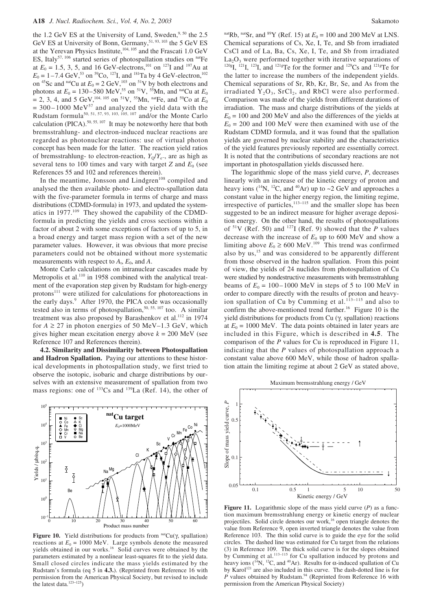the 1.2 GeV ES at the University of Lund, Sweden, $9,50$  the 2.5 GeV ES at University of Bonn, Germany, 51, 93, 103 the 5 GeV ES at the Yerevan Physics Institute, $104, 105$  and the Frascati 1.0 GeV ES, Italy<sup>57, 106</sup> started series of photospallation studies on  $n^{\text{nat}}$ Fe at  $E_0 = 1.5, 3, 5,$  and 16 GeV-electrons,<sup>101</sup> on <sup>127</sup>I and <sup>197</sup>Au at  $E_0 = 1 - 7.4$  GeV,<sup>53</sup> on <sup>59</sup>Co, <sup>127</sup>I, and <sup>181</sup>Ta by 4 GeV-electron,<sup>102</sup> on <sup>45</sup>Sc and <sup>nat</sup>Cu at  $E_0 = 2$  GeV,<sup>103</sup> on <sup>51</sup>V by both electrons and photons at  $E_0 = 130-580 \text{ MeV}$ ,<sup>55</sup> on <sup>51</sup>V, <sup>55</sup>Mn, and <sup>nat</sup>Cu at  $E_0$  $= 2, 3, 4,$  and 5 GeV,<sup>104, 105</sup> on <sup>51</sup>V, <sup>55</sup>Mn, <sup>nat</sup>Fe, and <sup>59</sup>Co at *E*<sub>0</sub>  $= 300 - 1000 \text{ MeV}^{57}$  and analyzed the yield data with the Rudstam formula<sup>50, 51, 57, 93, 103, 105, 107</sup> and/or the Monte Carlo calculation (PICA).<sup>50, 55, 107</sup> It may be noteworthy here that both bremsstrahlung- and electron-induced nuclear reactions are regarded as photonuclear reactions: use of virtual photon concept has been made for the latter. The reaction yield ratios of bremsstrahlung- to electron-reaction, *Y*Q/*Y*e<sup>−</sup>, are as high as several tens to 100 times and vary with target *Z* and *E*<sup>0</sup> (see References 55 and 102 and references therein).

In the meantime, Jonsson and Lindgren $108$  compiled and analysed the then available photo- and electro-spallation data with the five-parameter formula in terms of charge and mass distributions (CDMD-formula) in 1973, and updated the systematics in 1977.<sup>109</sup> They showed the capability of the CDMDformula in predicting the yields and cross sections within a factor of about 2 with some exceptions of factors of up to 5, in a broad energy and target mass region with a set of the new parameter values. However, it was obvious that more precise parameters could not be obtained without more systematic measurements with respect to  $A_t$ ,  $E_0$ , and  $A$ .

Monte Carlo calculations on intranuclear cascades made by Metropolis et al.<sup>110</sup> in 1958 combined with the analytical treatment of the evaporation step given by Rudstam for high-energy protons<sup>111</sup> were utilized for calculations for photoreactions in the early days.<sup>9</sup> After 1970, the PICA code was occasionally tested also in terms of photospallation,<sup>50, 55, 107</sup> too. A similar treatment was also proposed by Barashenkov et al.<sup>112</sup> in 1974 for  $A \ge 27$  in photon energies of 50 MeV–1.3 GeV, which gives higher mean excitation energy above  $k = 200$  MeV (see Reference 107 and References therein).

**4.2. Similarity and Dissimilarity between Photospallation and Hadron Spallation.** Paying our attentions to these historical developments in photospallation study, we first tried to observe the isotopic, isobaric and charge distributions by ourselves with an extensive measurement of spallation from two mass regions: one of  $^{133}Cs$  and  $^{139}La$  (Ref. 14), the other of



Figure 10. Yield distributions for products from <sup>nat</sup>Cu(γ, spallation) reactions at  $E_0 = 1000$  MeV. Large symbols denote the measured yields obtained in our works.<sup>16</sup> Solid curves were obtained by the parameters estimated by a nonlinear least-squares fit to the yield data. Small closed circles indicate the mass yields estimated by the Rudstam's formula (eq 5 in **4.3.**). (Reprinted from Reference 16 with permission from the American Physical Society, but revised to include the latest data.<sup>123–125</sup>)

<sup>nat</sup>Rb, <sup>nat</sup>Sr, and <sup>89</sup>Y (Ref. 15) at  $E_0 = 100$  and 200 MeV at LNS. Chemical separations of Cs, Xe, I, Te, and Sb from irradiated CsCl and of La, Ba, Cs, Xe, I, Te, and Sb from irradiated  $La<sub>2</sub>O<sub>3</sub>$  were performed together with iterative separations of <sup>120g</sup>I, <sup>121</sup>J, <sup>123</sup>J, and <sup>121g</sup>Te for the former and <sup>129</sup>Cs and <sup>121g</sup>Te for the latter to increase the numbers of the independent yields. Chemical separations of Sr, Rb, Kr, Br, Se, and As from the irradiated  $Y_2O_3$ , SrCl<sub>2</sub>, and RbCl were also performed. Comparison was made of the yields from different durations of irradiation. The mass and charge distributions of the yields at  $E_0 = 100$  and 200 MeV and also the differences of the yields at  $E_0 = 200$  and 100 MeV were then examined with use of the Rudstam CDMD formula, and it was found that the spallation yields are governed by nuclear stability and the characteristics of the yield features previously reported are essentially correct. It is noted that the contributions of secondary reactions are not important in photospallation yields discussed here.

The logarithmic slope of the mass yield curve, *P*, decreases linearly with an increase of the kinetic energy of proton and heavy ions ( $^{14}N$ ,  $^{12}C$ , and  $^{40}Ar$ ) up to  $\sim$ 2 GeV and approaches a constant value in the higher energy region, the limiting regime, irrespective of particles,<sup>113−115</sup> and the smaller slope has been suggested to be an indirect measure for higher average deposition energy. On the other hand, the results of photospallations of 51V (Ref. 50) and 127I (Ref. 9) showed that the *P* values decrease with the increase of  $E_0$  up to 600 MeV and show a limiting above  $E_0 \ge 600 \text{ MeV}$ .<sup>109</sup> This trend was confirmed also by us,<sup>15</sup> and was considered to be apparently different from those observed in the hadron spallation. From this point of view, the yields of 24 nuclides from photospallation of Cu were studied by nondestructive measurements with bremsstrahlung beams of  $E_0 = 100 - 1000$  MeV in steps of 5 to 100 MeV in order to compare directly with the results of proton and heavyion spallation of Cu by Cumming et al.<sup>113–115</sup> and also to confirm the above-mentioned trend further.<sup>16</sup> Figure 10 is the yield distributions for products from Cu (γ, spallation) reactions at  $E_0 = 1000$  MeV. The data points obtained in later years are included in this Figure, which is described in **4.5**. The comparison of the *P* values for Cu is reproduced in Figure 11, indicating that the *P* values of photospallation approach a constant value above 600 MeV, while those of hadron spallation attain the limiting regime at about 2 GeV as stated above,



**Figure 11.** Logarithmic slope of the mass yield curve (*P*) as a function maximum bremsstrahlung energy or kinetic energy of nuclear projectiles. Solid circle denotes our work, $16$  open triangle denotes the value from Reference 9, open inverted triangle denotes the value from Reference 103. The thin solid curve is to guide the eye for the solid circles. The dashed line was estimated for Cu target from the relations (3) in Reference 109. The thick solid curve is for the slopes obtained by Cumming et al.<sup>113-115</sup> for Cu spallation induced by protons and heavy ions ( $^{14}N$ ,  $^{12}C$ , and  $^{40}Ar$ ). Results for  $\alpha$ -induced spallation of Cu by Karol<sup>121</sup> are also included in this curve. The dash-dotted line is for *P* values obtained by Rudstam.<sup>94</sup> (Reprinted from Reference 16 with permission from the American Physical Society)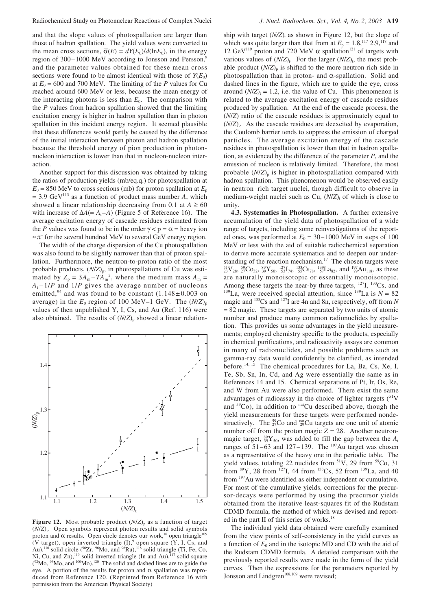and that the slope values of photospallation are larger than those of hadron spallation. The yield values were converted to the mean cross sections,  $\overline{\sigma}(E) = dY(E_0)/d(\ln E_0)$ , in the energy region of 300–1000 MeV according to Jonsson and Persson,<sup>9</sup> and the parameter values obtained for these mean cross sections were found to be almost identical with those of  $Y(E_0)$ at  $E_0 = 600$  and 700 MeV. The limiting of the *P* values for Cu reached around 600 MeV or less, because the mean energy of the interacting photons is less than  $E_0$ . The comparison with the *P* values from hadron spallation showed that the limiting excitation energy is higher in hadron spallation than in photon spallation in this incident energy region. It seemed plausible that these differences would partly be caused by the difference of the initial interaction between photon and hadron spallation because the threshold energy of pion production in photonnucleon interaction is lower than that in nucleon-nucleon interaction.

Another support for this discussion was obtained by taking the ratios of production yields (mb/eq.q.) for photospallation at  $E_0$  = 850 MeV to cross sections (mb) for proton spallation at  $E_p$  $= 3.9 \text{ GeV}^{113}$  as a function of product mass number *A*, which showed a linear relationship decreasing from 0.1 at  $A \ge 60$ with increase of  $\Delta A (= A_t - A)$  (Figure 5 of Reference 16). The average excitation energy of cascade residues estimated from the *P* values was found to be in the order  $\gamma < p = \alpha$  = heavy ion  $\approx \pi^-$  for the several hundred MeV to several GeV energy region.

The width of the charge dispersion of the Cu photospallation was also found to be slightly narrower than that of proton spallation. Furthermore, the neutron-to-proton ratio of the most probable products,  $(N/Z)_{p}$ , in photospallations of Cu was estimated by  $Z_p = SA_m - TA_m^2$ , where the medium mass  $A_m =$  $A_t - 1/P$  and  $1/P$  gives the average number of nucleons emitted,<sup>94</sup> and was found to be constant  $(1.148 \pm 0.003)$  on average) in the  $E_0$  region of 100 MeV–1 GeV. The  $(N/Z)_{\text{p}}$ values of then unpublished Y, I, Cs, and Au (Ref. 116) were also obtained. The results of  $(N/Z)$ <sub>p</sub> showed a linear relation-



**Figure 12.** Most probable product  $(N/Z)$ <sub>p</sub> as a function of target ( $N/Z$ )<sub>t</sub>. Open symbols represent photon results and solid symbols proton and α results. Open circle denotes our work,<sup>16</sup> open triangle<sup>109</sup> (V target), open inverted triangle  $(I)$ ,  $9$  open square  $(Y, I, Cs)$ , and Au),<sup>116</sup> solid circle ( $\rm{^{96}Zr}$ ,  $\rm{^{96}Mo}$ , and  $\rm{^{96}Ru}$ ),<sup>118</sup> solid triangle (Ti, Fe, Co, Ni, Cu, and Zn),<sup>119</sup> solid inverted triangle (In and Au),<sup>117</sup> solid square  $(^{92}Mo, ^{96}Mo,$  and  $^{100}Mo).^{120}$  The solid and dashed lines are to guide the eye. A portion of the results for proton and  $\alpha$  spallation was reproduced from Reference 120. (Reprinted from Reference 16 with permission from the American Physical Society)

ship with target  $(N/Z)$ <sub>t</sub> as shown in Figure 12, but the slope of which was quite larger than that from at  $E_p = 1.8$ ,<sup>117</sup>, 2.9,<sup>118</sup> and 12 GeV<sup>119</sup> proton and 720 MeV  $\alpha$  spallation<sup>121</sup> of targets with various values of  $(N/Z)_{t}$ . For the larger  $(N/Z)_{t}$ , the most probable product  $(N/Z)$ <sub>n</sub> is shifted to the more neutron rich side in photospallation than in proton- and α-spallation. Solid and dashed lines in the figure, which are to guide the eye, cross around  $(N/Z)$ <sub>t</sub> = 1.2, i.e. the value of Cu. This phenomenon is related to the average excitation energy of cascade residues produced by spallation. At the end of the cascade process, the (*N*/*Z*) ratio of the cascade residues is approximately equal to  $(N/Z)$ . As the cascade residues are deexcited by evaporation, the Coulomb barrier tends to suppress the emission of charged particles. The average excitation energy of the cascade residues in photospallation is lower than that in hadron spallation, as evidenced by the difference of the parameter *P*, and the emission of nucleon is relatively limited. Therefore, the most probable  $(N/Z)$ <sub>n</sub> is higher in photospallation compared with hadron spallation. This phenomenon would be observed easily in neutron−rich target nuclei, though difficult to observe in medium-weight nuclei such as Cu,  $(N/Z)$ <sub>t</sub> of which is close to unity.

**4.3. Systematics in Photospallation.** A further extensive accumulation of the yield data of photospallation of a wide range of targets, including some reinvestigations of the reported ones, was performed at  $E_0 = 30 - 1000$  MeV in steps of 100 MeV or less with the aid of suitable radiochemical separation to derive more accurate systematics and to deepen our understanding of the reaction mechanism.<sup>17</sup> The chosen targets were  ${}^{51}_{23}\text{V}_{28}$ ,  ${}^{59}_{27}\text{Co}_{32}$ ,  ${}^{89}_{39}\text{Y}_{50}$ ,  ${}^{127}_{53}\text{I}_{74}$ ,  ${}^{133}_{55}\text{Cs}_{78}$ ,  ${}^{139}_{51}\text{La}_{82}$ , and  ${}^{197}_{79}\text{Au}_{118}$ , as these are naturally monoisotopic or essentially monoisotopic. Among these targets the near-by three targets, <sup>127</sup>I, <sup>133</sup>Cs, and <sup>139</sup>La, were received special attention, since <sup>139</sup>La is  $N = 82$ magic and <sup>133</sup>Cs and <sup>127</sup>I are 4n and 8n, respectively, off from *N* = 82 magic. These targets are separated by two units of atomic number and produce many common radionuclides by spallation. This provides us some advantages in the yield measurements; employed chemistry specific to the products, especially in chemical purifications, and radioactivity assays are common in many of radionuclides, and possible problems such as gamma-ray data would confidently be clarified, as intended before.<sup>14, 15</sup> The chemical procedures for La, Ba, Cs, Xe, I, Te, Sb, Sn, In, Cd, and Ag were essentially the same as in References 14 and 15. Chemical separations of Pt, Ir, Os, Re, and W from Au were also performed. There exist the same advantages of radioassay in the choice of lighter targets  $(^{51}V)$ and  $59^{\circ}$ Co), in addition to  $n^{\text{nat}}$ Cu described above, though the yield measurements for these targets were performed nondestructively. The  $_{27}^{59}Co$  and  $_{29}^{nat}Cu$  targets are one unit of atomic number off from the proton magic  $Z = 28$ . Another neutronmagic target,  ${}^{89}_{39}Y_{50}$ , was added to fill the gap between the  $A_t$ ranges of  $51-63$  and  $127-139$ . The <sup>197</sup>Au target was chosen as a representative of the heavy one in the periodic table. The yield values, totaling 22 nuclides from  $51\overline{V}$ , 29 from  $59\overline{C}$ , 31 from  ${}^{89}Y$ , 28 from  ${}^{127}I$ , 44 from  ${}^{133}Cs$ , 52 from  ${}^{139}La$ , and 40 from 197Au were identified as either independent or cumulative. For most of the cumulative yields, corrections for the precursor-decays were performed by using the precursor yields obtained from the iterative least-squares fit of the Rudstam CDMD formula, the method of which was devised and reported in the part II of this series of works.<sup>18</sup>

The individual yield data obtained were carefully examined from the view points of self-consistency in the yield curves as a function of  $E_0$  and in the isotopic MD and CD with the aid of the Rudstam CDMD formula. A detailed comparison with the previously reported results were made in the form of the yield curves. Then the expressions for the parameters reported by Jonsson and Lindgren<sup>108,109</sup> were revised;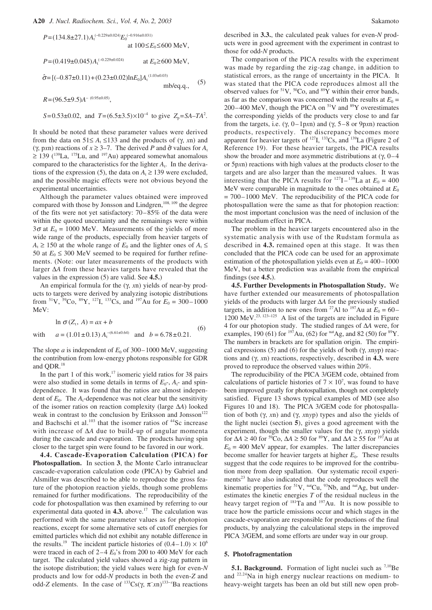$$
P = (134.8 \pm 27.1) A_{t}^{(-0.229 \pm 0.024)} E_{0}^{(-0.916 \pm 0.031)}
$$
  
at  $100 \le E_{0} \le 600 \text{ MeV}$ ,  

$$
P = (0.419 \pm 0.045) A_{t}^{(-0.229 \pm 0.024)}
$$
  
at  $E_{0} \ge 600 \text{ MeV}$ ,  

$$
\hat{\sigma} = [(-0.87 \pm 0.11) + (0.23 \pm 0.02) \ln E_{0}] A_{t}^{(1.03 \pm 0.03)}
$$
  
m $b$ /eq.q., (5)  

$$
R = (96.5 \pm 9.5) A^{- (0.95 \pm 0.05)}
$$
,

 $S=0.53\pm0.02$ , and  $T=(6.5\pm3.5)\times10^{-4}$  to give  $Z_p = SA - TA^2$ .

It should be noted that these parameter values were derived from the data on  $51 \le A_t \le 133$  and the products of  $(\gamma, x_n)$  and (γ, pxn) reactions of  $x \ge 3-7$ . The derived *P* and  $\hat{\sigma}$  values for  $A_t$  $\geq$  139 (<sup>139</sup>La, <sup>175</sup>Lu, and <sup>197</sup>Au) appeared somewhat anomalous compared to the characteristics for the lighter  $A_t$ . In the derivations of the expression (5), the data on  $A_t \ge 139$  were excluded, and the possible magic effects were not obvious beyond the experimental uncertainties.

Although the parameter values obtained were improved compared with those by Jonsson and Lindgren,<sup>108, 109</sup> the degree of the fits were not yet satisfactory: 70–85% of the data were within the quoted uncertainty and the remainings were within  $3\sigma$  at  $E_0 = 1000$  MeV. Measurements of the yields of more wide range of the products, especially from heavier targets of  $A_t \ge 150$  at the whole range of  $E_0$  and the lighter ones of  $A_t \le$ 50 at  $E_0 \le 300$  MeV seemed to be required for further refinements. (Note: our later measurements of the products with larger ∆*A* from these heavies targets have revealed that the values in the expression (5) are valid. See **4.5.**)

An empirical formula for the (γ, *x*n) yields of near-by products to targets were derived by analyzing isotopic distributions from <sup>51</sup>V, <sup>59</sup>Co, <sup>89</sup>Y, <sup>127</sup>I, <sup>133</sup>Cs, and <sup>197</sup>Au for  $E_0 = 300 - 1000$ MeV:

$$
\ln \sigma(Z_t, A) = ax + b
$$
  
with  $a = (1.01 \pm 0.13) A_t^{-(6.61 \pm 0.64)}$  and  $b = 6.78 \pm 0.21$ . (6)

The slope *a* is independent of  $E_0$  of 300–1000 MeV, suggesting the contribution from low-energy photons responsible for GDR and QDR.18

In the part 1 of this work, $17$  isomeric yield ratios for 38 pairs were also studied in some details in terms of  $E_0$ -,  $A_t$ - and spindependence. It was found that the ratios are almost independent of  $E_0$ . The  $A_t$ -dependence was not clear but the sensitivity of the isomer ratios on reaction complexity (large ∆*A*) looked weak in contrast to the conclusion by Eriksson and Jonsson<sup>122</sup> and Bachschi et al. $103$  that the isomer ratios of  $44$ Sc increase with increase of ∆*A* due to build-up of angular momenta during the cascade and evaporation. The products having spin closer to the target spin were found to be favored in our work.

**4.4. Cascade-Evaporation Calculation (PICA) for Photospallation.** In section **3**, the Monte Carlo intranuclear cascade-evaporation calculation code (PICA) by Gabriel and Alsmiller was described to be able to reproduce the gross feature of the photopion reaction yields, though some problems remained for further modifications. The reproducibility of the code for photospallation was then examined by referring to our experimental data quoted in **4.3.** above.<sup>17</sup> The calculation was performed with the same parameter values as for photopion reactions, except for some alternative sets of cutoff energies for emitted particles which did not exhibit any notable difference in the results.<sup>19</sup> The incident particle histories of  $(0.4-1.0) \times 10^6$ were traced in each of  $2-4 E_0$ 's from 200 to 400 MeV for each target. The calculated yield values showed a zig-zag pattern in the isotope distribution; the yield values were high for even-*N* products and low for odd-*N* products in both the even-*Z* and odd-*Z* elements. In the case of <sup>133</sup>Cs(γ,  $\pi$ <sup>-xn</sup>)<sup>133-*x*</sup>Ba reactions

described in **3.3.**, the calculated peak values for even-*N* products were in good agreement with the experiment in contrast to those for odd-*N* products.

The comparison of the PICA results with the experiment was made by regarding the zig-zag change, in addition to statistical errors, as the range of uncertainty in the PICA. It was stated that the PICA code reproduces almost all the observed values for  ${}^{51}V$ ,  ${}^{50}Co$ , and  ${}^{89}Y$  within their error bands, as far as the comparison was concerned with the results at  $E_0 =$ 200–400 MeV, though the PICA on  $51V$  and  $89Y$  overestimates the corresponding yields of the products very close to and far from the targets, i.e. (γ, 0–1p*x*n) and (γ, 5–8 or 9p*x*n) reaction products, respectively. The discrepancy becomes more apparent for heavier targets of  $^{127}I$ ,  $^{133}Cs$ , and  $^{139}La$  (Figure 2 of Reference 19). For these heavier targets, the PICA results show the broader and more asymmetric distributions at  $(\gamma, 0-4)$ or 5p*x*n) reactions with high values at the products closer to the targets and are also larger than the measured values. It was interesting that the PICA results for  $^{127}I - ^{139}La$  at  $E_0 = 400$ MeV were comparable in magnitude to the ones obtained at  $E_0$  $= 700-1000$  MeV. The reproducibility of the PICA code for photospallation were the same as that for photopion reaction: the most important conclusion was the need of inclusion of the nuclear medium effect in PICA.

The problem in the heavier targets encountered also in the systematic analysis with use of the Rudstam formula as described in **4.3.** remained open at this stage. It was then concluded that the PICA code can be used for an approximate estimation of the photospallation yields even at  $E_0 = 400 - 1000$ MeV, but a better prediction was available from the empirical findings (see **4.5.**).

**4.5. Further Developments in Photospallation Study.** We have further extended our measurements of photospallation yields of the products with larger ∆*A* for the previously studied targets, in addition to new ones from <sup>27</sup>Al to <sup>197</sup>Au at  $E_0 = 60 -$ 1200 MeV.23, 123<sup>−</sup><sup>125</sup> A list of the targets are included in Figure 4 for our photopion study. The studied ranges of ∆*A* were, for examples, 190 (61) for  $197$ Au, (62) for  $nat$ Ag, and 82 (50) for  $89$ Y. The numbers in brackets are for spallation origin. The empirical expressions (5) and (6) for the yields of both (γ, *x*n*y*p) reactions and (γ, *x*n) reactions, respectively, described in **4.3.** were proved to reproduce the observed values within 20%.

The reproducibility of the PICA 3/GEM code, obtained from calculations of particle histories of  $7 \times 10^7$ , was found to have been improved greatly for photospallation, though not completely satisfied. Figure 13 shows typical examples of MD (see also Figures 10 and 18). The PICA 3/GEM code for photospallation of both (γ, *x*n) and (γ, *x*n*y*p) types and also the yields of the light nuclei (section **5**), gives a good agreement with the experiment, though the smaller values for the (γ, *x*n*y*p) yields for ∆*A* ≥ 40 for 59Co, ∆*A* ≥ 50 for 89Y, and ∆*A* ≥ 55 for 197Au at  $E_0 = 400$  MeV appear, for examples. The latter discrepancies become smaller for heavier targets at higher  $E_0$ . These results suggest that the code requires to be improved for the contribution more from deep spallation. Our systematic recoil experiments $^{23}$  have also indicated that the code reproduces well the kinematic properties for  ${}^{51}V$ ,  ${}^{nat}Cu$ ,  ${}^{93}Nb$ , and  ${}^{nat}Ag$ , but underestimates the kinetic energies *T* of the residual nucleus in the heavy target region of <sup>181</sup>Ta and <sup>197</sup>Au. It is now possible to trace how the particle emissions occur and which stages in the cascade-evaporation are responsible for productions of the final products, by analyzing the calculational steps in the improved PICA 3/GEM, and some efforts are under way in our group.

### **5. Photofragmentation**

**5.1. Background.** Formation of light nuclei such as <sup>7,10</sup>Be and 22,24Na in high energy nuclear reactions on medium- to heavy-weight targets has been an old but still new open prob-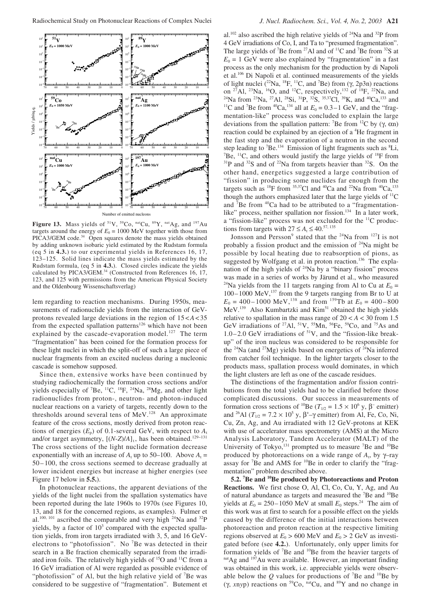

Figure 13. Mass yields of <sup>51</sup>V, <sup>59</sup>Co, <sup>nat</sup>Cu, <sup>89</sup>Y, <sup>nat</sup>Ag, and <sup>197</sup>Au targets around the energy of  $E_0 = 1000$  MeV together with those from PICA3/GEM code.<sup>34</sup> Open squares denote the mass yields obtained by adding unknown isobaric yield estimated by the Rudstam formula (eq 5 in **4.3.**) to our experimental yields in References 16, 17, 123–125. Solid lines indicate the mass yields estimated by the Rudstam formula, (eq 5 in **4.3.**). Closed circles indicate the yields calculated by PICA3/GEM.<sup>34</sup> (Constructed from References 16, 17, 123, and 125 with permissions from the American Physical Society and the Oldenbourg Wissenschaftsverlag)

lem regarding to reaction mechanisms. During 1950s, measurements of radionuclide yields from the interaction of GeVprotons revealed large deviations in the region of 15 <*A*< 35 from the expected spallation patterns<sup>126</sup> which have not been explained by the cascade-evaporation model.<sup>127</sup> The term "fragmentation" has been coined for the formation process for these light nuclei in which the split-off of such a large piece of nuclear fragments from an excited nucleus during a nucleonic cascade is somehow supposed.

Since then, extensive works have been continued by studying radiochemically the formation cross sections and/or yields especially of <sup>7</sup>Be, <sup>11</sup>C, <sup>18</sup>F, <sup>24</sup>Na, <sup>28</sup>Mg, and other light radionuclides from proton-, neutron- and photon-induced nuclear reactions on a variety of targets, recently down to the thresholds around several tens of  $MeV$ .<sup>128</sup> An approximate feature of the cross sections, mostly derived from proton reactions of energies  $(E_p)$  of 0.1-several GeV, with respect to  $A_t$ and/or target asymmetry,  $[(N-Z)/A]_t$ , has been obtained.<sup>129–131</sup> The cross sections of the light nuclide formation decrease exponentially with an increase of  $A_t$  up to 50–100. Above  $A_t$  = 50–100, the cross sections seemed to decrease gradually at lower incident energies but increase at higher energies (see Figure 17 below in **5.5.**).

In photonuclear reactions, the apparent deviations of the yields of the light nuclei from the spallation systematics have been reported during the late 1960s to 1970s (see Figures 10, 13, and 18 for the concerned regions, as examples). Fulmer et al.<sup>100, 101</sup> ascribed the comparable and very high <sup>24</sup>Na and <sup>32</sup>P yields, by a factor of  $10<sup>3</sup>$  compared with the expected spallation yields, from iron targets irradiated with 3, 5, and 16 GeVelectrons to "photofission". No  ${}^{7}$ Be was detected in their search in a Be fraction chemically separated from the irradiated iron foils. The relatively high yields of <sup>15</sup>O and <sup>11</sup>C from a 16 GeV irradiation of Al were regarded as possible evidence of "photofission" of Al, but the high relative yield of  $7Be$  was considered to be suggestive of "fragmentation". Butement et

al.<sup>102</sup> also ascribed the high relative yields of <sup>24</sup>Na and <sup>32</sup>P from 4 GeV irradiations of Co, I, and Ta to "presumed fragmentation". The large yields of <sup>7</sup>Be from <sup>27</sup>Al and of <sup>11</sup>C and <sup>7</sup>Be from <sup>32</sup>S at  $E_0 = 1$  GeV were also explained by "fragmentation" in a fast process as the only mechanism for the production by di Napoli et al.106 Di Napoli et al. continued measurements of the yields of light nuclei ( $^{22}$ Na,  $^{18}$ F,  $^{11}$ C, and  $^{7}$ Be) from (γ, 2p3n) reactions on <sup>27</sup>Al, <sup>23</sup>Na, <sup>16</sup>O, and <sup>12</sup>C, respectively, <sup>132</sup> of <sup>18</sup>F, <sup>22</sup>Na, and <sup>24</sup>Na from <sup>23</sup>Na, <sup>27</sup>Al, <sup>28</sup>Si, <sup>31</sup>P, <sup>32</sup>S, <sup>35,37</sup>Cl, <sup>39</sup>K, and <sup>40</sup>Ca,<sup>133</sup> and <sup>11</sup>C and <sup>7</sup>Be from <sup>40</sup>Ca,<sup>134</sup> all at  $E_0 = 0.3-1$  GeV, and the "fragmentation-like" process was concluded to explain the large deviations from the spallation pattern: <sup>7</sup>Be from <sup>12</sup>C by (γ, αn) reaction could be explained by an ejection of a <sup>4</sup>He fragment in the fast step and the evaporation of a neutron in the second step leading to  ${}^{7}$ Be.<sup>134</sup> Emission of light fragments such as  ${}^{8}$ Li,  $7$ Be,  $^{11}$ C, and others would justify the large yields of  $^{18}$ F from  $31P$  and  $32S$  and of  $22Na$  from targets heavier than  $32S$ . On the other hand, energetics suggested a large contribution of "fission" in producing some nuclides far enough from the targets such as <sup>18</sup>F from <sup>35,37</sup>Cl and <sup>40</sup>Ca and <sup>22</sup>Na from <sup>40</sup>Ca,<sup>133</sup> though the authors emphasized later that the large yields of  ${}^{11}C$ and  ${}^{7}$ Be from  ${}^{40}$ Ca had to be attributed to a "fragmentationlike" process, neither spallation nor fission.<sup>134</sup> In a later work, a "fission-like" process was not excluded for the 11C productions from targets with  $27 \le A_t \le 40$ .<sup>57, 135</sup>

Jonsson and Persson<sup>9</sup> stated that the <sup>24</sup>Na from <sup>127</sup>I is not probably a fission product and the emission of  $24$ Na might be possible by local heating due to reabsorption of pions, as suggested by Wolfgang et al. in proton reaction.<sup>136</sup> The explanation of the high yields of  $24$ Na by a "binary fission" process was made in a series of works by Järund et al., who measured <sup>24</sup>Na yields from the 11 targets ranging from Al to Cu at  $E_0 =$  $100-1000$  MeV,<sup>137</sup> from the 9 targets ranging from Br to U at  $E_0 = 400 - 1000$  MeV,<sup>138</sup> and from <sup>159</sup>Tb at  $E_0 = 400 - 800$ MeV.<sup>139</sup> Also Kumbartzki and Kim<sup>51</sup> obtained the high yields relative to spallation in the mass range of  $20 < A < 30$  from 1.5 GeV irradiations of <sup>27</sup>Al, <sup>51</sup>V, <sup>55</sup>Mn, <sup>56</sup>Fe, <sup>59</sup>Co, and <sup>75</sup>As and  $1.0-2.0$  GeV irradiations of  $51V$ , and the "fission-like breakup" of the iron nucleus was considered to be responsible for the <sup>24</sup>Na (and <sup>27</sup>Mg) yields based on energetics of <sup>24</sup>Na inferred from catcher foil technique. In the lighter targets closer to the products mass, spallation process would dominates, in which the light clusters are left as one of the cascade residues.

The distinctions of the fragmentation and/or fission contributions from the total yields had to be clarified before those complicated discussions. Our success in measurements of formation cross sections of <sup>10</sup>Be ( $T_{1/2} = 1.5 \times 10^6$  y,  $\beta^-$  emitter) and <sup>26</sup>Al ( $T_{1/2} = 7.2 \times 10^5$  y,  $\beta^{\dagger}$ - $\gamma$  emitter) from Al, Fe, Co, Ni, Cu, Zn, Ag, and Au irradiated with 12 GeV-protons at KEK with use of accelerator mass spectrometry (AMS) at the Micro Analysis Laboratory, Tandem Accelerator (MALT) of the University of Tokyo,  $^{131}$  prompted us to measure <sup>7</sup>Be and  $^{10}$ Be produced by photoreactions on a wide range of  $A_t$ , by  $\gamma$ –ray assay for  ${}^{7}$ Be and AMS for  ${}^{10}$ Be in order to clarify the "fragmentation" problem described above.

**5.2. 7 Be and 10Be produced by Photoreactions and Proton Reactions.** We first chose O, Al, Cl, Co, Cu, Y, Ag, and Au of natural abundance as targets and measured the <sup>7</sup>Be and <sup>10</sup>Be yields at  $E_0 = 250 - 1050$  MeV at small  $E_0$  steps.<sup>24</sup> The aim of this work was at first to search for a possible effect on the yields caused by the difference of the initial interactions between photoreaction and proton reaction at the respective limiting regions observed at  $E_0 > 600$  MeV and  $E_0 > 2$  GeV as investigated before (see **4.2.**). Unfortunately, only upper limits for formation yields of <sup>7</sup>Be and <sup>10</sup>Be from the heavier targets of  $n<sup>nat</sup>$ Ag and  $197$ Au were available. However, an important finding was obtained in this work, i.e. appreciable yields were observable below the  $Q$  values for productions of <sup>7</sup>Be and <sup>10</sup>Be by (γ, *x*n*y*p) reactions on 59Co, natCu, and 89Y and no change in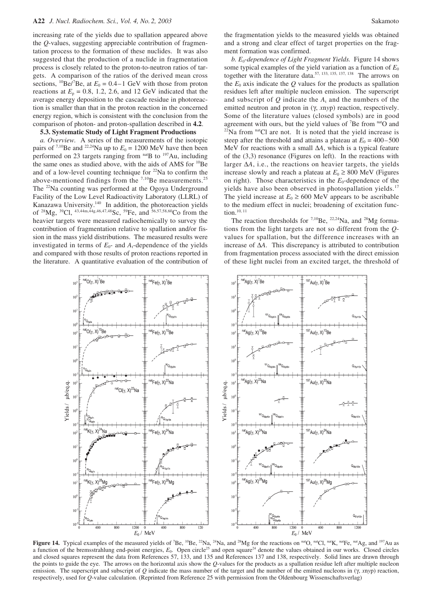increasing rate of the yields due to spallation appeared above the *Q*-values, suggesting appreciable contribution of fragmentation process to the formation of these nuclides. It was also suggested that the production of a nuclide in fragmentation process is closely related to the proton-to-neutron ratios of targets. A comparison of the ratios of the derived mean cross sections, <sup>10</sup>Be/<sup>7</sup>Be, at  $E_0 = 0.4-1$  GeV with those from proton reactions at  $E_p = 0.8$ , 1.2, 2.6, and 12 GeV indicated that the average energy deposition to the cascade residue in photoreaction is smaller than that in the proton reaction in the concerned energy region, which is consistent with the conclusion from the comparison of photon- and proton-spallation described in **4.2**.

### **5.3. Systematic Study of Light Fragment Productions**

*a. Overview.* A series of the measurements of the isotopic pairs of <sup>7,10</sup>Be and <sup>22,24</sup>Na up to  $E_0 = 1200$  MeV have then been performed on 23 targets ranging from  $n$ <sup>nat</sup>B to  $197$ Au, including the same ones as studied above, with the aids of AMS for <sup>10</sup>Be and of a low-level counting technique for  $22$ Na to confirm the above-mentioned findings from the  $7,10$ Be measurements.<sup>25</sup> The <sup>22</sup>Na counting was performed at the Ogoya Underground Facility of the Low Level Radioactivity Laboratory (LLRL) of Kanazawa University.<sup>140</sup> In addition, the photoreaction yields of 28Mg, 39Cl, 43,44m,44g,46,47,48Sc, 59Fe, and 56,57,58,60Co from the heavier targets were measured radiochemically to survey the contribution of fragmentation relative to spallation and/or fission in the mass yield distributions. The measured results were investigated in terms of  $E_0$ - and  $A_t$ -dependence of the yields and compared with those results of proton reactions reported in the literature. A quantitative evaluation of the contribution of

the fragmentation yields to the measured yields was obtained and a strong and clear effect of target properties on the fragment formation was confirmed.

*b. E0-dependence of Light Fragment Yields.* Figure 14 shows some typical examples of the yield variation as a function of *E*<sup>0</sup> together with the literature data.<sup>57, 133, 135, 137, 138</sup> The arrows on the  $E_0$  axis indicate the  $Q$  values for the products as spallation residues left after multiple nucleon emission. The superscript and subscript of  $Q$  indicate the  $A_t$  and the numbers of the emitted neutron and proton in (γ, *x*n*y*p) reaction, respectively. Some of the literature values (closed symbols) are in good agreement with ours, but the yield values of <sup>7</sup>Be from <sup>nat</sup>O and  $22$ Na from natCl are not. It is noted that the yield increase is steep after the threshold and attains a plateau at  $E_0 = 400-500$ MeV for reactions with a small ∆*A*, which is a typical feature of the (3,3) resonance (Figures on left). In the reactions with larger ∆*A*, i.e., the reactions on heavier targets, the yields increase slowly and reach a plateau at  $E_0 \geq 800$  MeV (Figures on right). Those characteristics in the  $E_0$ -dependence of the yields have also been observed in photospallation yields.<sup>17</sup> The yield increase at  $E_0 \ge 600$  MeV appears to be ascribable to the medium effect in nuclei; broadening of excitation function.<sup>10, 11</sup>

The reaction thresholds for  $7,10$ Be,  $22,24$ Na, and  $28$ Mg formations from the light targets are not so different from the *Q*values for spallation, but the difference increases with an increase of ∆*A*. This discrepancy is attributed to contribution from fragmentation process associated with the direct emission of these light nuclei from an excited target, the threshold of



**Figure 14.** Typical examples of the measured yields of <sup>7</sup>Be, <sup>10</sup>Be, <sup>22</sup>Na, <sup>24</sup>Na, and <sup>28</sup>Mg for the reactions on <sup>nat</sup>O, <sup>nat</sup>Cl, <sup>nat</sup>K, <sup>nat</sup>Fe, <sup>nat</sup>Ag, and <sup>197</sup>Au as a function of the bremsstrahlung end-point energies,  $E_0$ . Open circle<sup>25</sup> and open square<sup>24</sup> denote the values obtained in our works. Closed circles and closed squares represent the data from References 57, 133, and 135 and References 137 and 138, respectively. Solid lines are drawn through the points to guide the eye. The arrows on the horizontal axis show the *Q*-values for the products as a spallation residue left after multiple nucleon emission. The superscript and subscript of *Q* indicate the mass number of the target and the number of the emitted nucleons in (γ, *x*n*y*p) reaction, respectively, used for *Q*-value calculation. (Reprinted from Reference 25 with permission from the Oldenbourg Wissenschaftsverlag)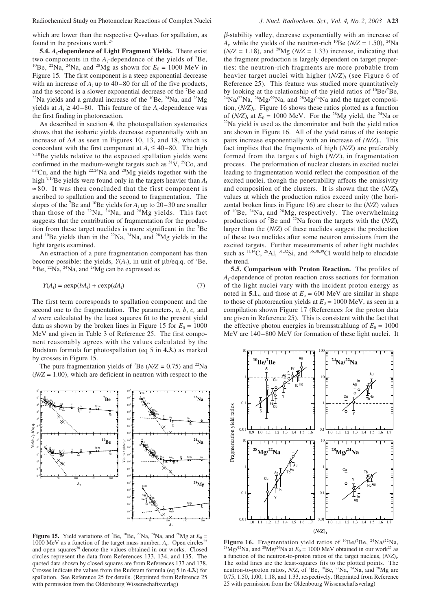which are lower than the respective Q-values for spallation, as found in the previous work.<sup>24</sup>

**5.4.** *A***t-dependence of Light Fragment Yields.** There exist two components in the  $A_t$ -dependence of the yields of <sup>7</sup>Be, <sup>10</sup>Be, <sup>22</sup>Na, <sup>24</sup>Na, and <sup>28</sup>Mg as shown for  $E_0 = 1000$  MeV in Figure 15. The first component is a steep exponential decrease with an increase of  $A_t$  up to 40–80 for all of the five products, and the second is a slower exponential decrease of the 7 Be and <sup>22</sup>Na yields and a gradual increase of the <sup>10</sup>Be, <sup>24</sup>Na, and <sup>28</sup>Mg yields at  $A<sub>t</sub>$  ≥ 40–80. This feature of the  $A<sub>t</sub>$ -dependence was the first finding in photoreaction.

As described in section **4**, the photospallation systematics shows that the isobaric yields decrease exponentially with an increase of ∆*A* as seen in Figures 10, 13, and 18, which is concordant with the first component at  $A_t \leq 40-80$ . The high  $7,10$ Be yields relative to the expected spallation yields were confirmed in the medium-weight targets such as  ${}^{51}V$ ,  ${}^{59}Co$ , and nat<sub>Cu</sub>, and the high <sup>22,24</sup>Na and <sup>28</sup>Mg yields together with the high <sup>7,10</sup>Be yields were found only in the targets heavier than  $A_t$ ≈ 80. It was then concluded that the first component is ascribed to spallation and the second to fragmentation. The slopes of the <sup>7</sup>Be and <sup>10</sup>Be yields for  $A_t$  up to 20–30 are smaller than those of the  $^{22}Na$ ,  $^{24}Na$ , and  $^{28}Mg$  yields. This fact suggests that the contribution of fragmentation for the production from these target nuclides is more significant in the 7 Be and  $^{10}$ Be yields than in the  $^{22}$ Na,  $^{24}$ Na, and  $^{28}$ Mg yields in the light targets examined.

An extraction of a pure fragmentation component has then become possible: the yields,  $Y(A_t)$ , in unit of  $\mu b / \text{eq}.q$ . of <sup>7</sup>Be,  $^{10}$ Be,  $^{22}$ Na,  $^{24}$ Na, and  $^{28}$ Mg can be expressed as

$$
Y(At) = a \exp(bAt) + c \exp(dAt)
$$
\n(7)

The first term corresponds to spallation component and the second one to the fragmentation. The parameters, *a*, *b*, *c,* and *d* were calculated by the least squares fit to the present yield data as shown by the broken lines in Figure 15 for  $E_0 = 1000$ MeV and given in Table 3 of Reference 25. The first component reasonably agrees with the values calculated by the Rudstam formula for photospallation (eq 5 in **4.3.**) as marked by crosses in Figure 15.

The pure fragmentation yields of <sup>7</sup>Be ( $N/Z = 0.75$ ) and <sup>22</sup>Na  $(N/Z = 1.00)$ , which are deficient in neutron with respect to the



**Figure 15.** Yield variations of <sup>7</sup>Be, <sup>10</sup>Be, <sup>22</sup>Na, <sup>24</sup>Na, and <sup>28</sup>Mg at  $E_0$  = 1000 MeV as a function of the target mass number,  $A_t$ . Open circles<sup>25</sup> and open squares<sup>26</sup> denote the values obtained in our works. Closed circles represent the data from References 133, 134, and 135. The quoted data shown by closed squares are from References 137 and 138. Crosses indicate the values from the Rudstam formula (eq 5 in **4.3.**) for spallation. See Reference 25 for details. (Reprinted from Reference 25 with permission from the Oldenbourg Wissenschaftsverlag)

β-stability valley, decrease exponentially with an increase of  $A_t$ , while the yields of the neutron-rich <sup>10</sup>Be (*N/Z* = 1.50), <sup>24</sup>Na  $(N/Z = 1.18)$ , and <sup>28</sup>Mg ( $N/Z = 1.33$ ) increase, indicating that the fragment production is largely dependent on target properties: the neutron-rich fragments are more probable from heavier target nuclei with higher (*N/Z*), (see Figure 6 of Reference 25). This feature was studied more quantitatively by looking at the relationship of the yield ratios of  ${}^{10}$ Be/<sup>7</sup>Be, <sup>24</sup>Na/<sup>22</sup>Na, <sup>28</sup>Mg/<sup>22</sup>Na, and <sup>28</sup>Mg/<sup>24</sup>Na and the target composition, (*N/Z*). Figure 16 shows these ratios plotted as a function of  $(N/Z)$ <sub>t</sub> at  $E_0 = 1000$  MeV. For the <sup>28</sup>Mg yield, the <sup>24</sup>Na or  $22$ Na yield is used as the denominator and both the yield ratios are shown in Figure 16. All of the yield ratios of the isotopic pairs increase exponentially with an increase of  $(N/Z)$ . This fact implies that the fragments of high (*N/Z*) are preferably formed from the targets of high  $(N/Z)$ <sub>t</sub> in fragmentation process. The preformation of nuclear clusters in excited nuclei leading to fragmentation would reflect the composition of the excited nuclei, though the penetrability affects the emissivity and composition of the clusters. It is shown that the  $(N/Z)$ <sub>t</sub> values at which the production ratios exceed unity (the horizontal broken lines in Figure 16) are closer to the (*N/Z*) values of <sup>10</sup>Be, <sup>24</sup>Na, and <sup>28</sup>Mg, respectively. The overwhelming productions of <sup>7</sup>Be and <sup>22</sup>Na from the targets with the  $(N/Z)$ <sub>t</sub> larger than the (*N/Z*) of these nuclides suggest the production of these two nuclides after some neutron emissions from the excited targets. Further measurements of other light nuclides such as  $^{11,14}$ C,  $^{26}$ Al,  $^{31,32}$ Si, and  $^{36,38,39}$ Cl would help to elucidate the trend.

**5.5. Comparison with Proton Reaction.** The profiles of *A*t-dependence of proton reaction cross sections for formation of the light nuclei vary with the incident proton energy as noted in **5.1.**, and those at  $E_p = 600$  MeV are similar in shape to those of photoreaction yields at  $E_0 = 1000$  MeV, as seen in a compilation shown Figure 17 (References for the proton data are given in Reference 25). This is consistent with the fact that the effective photon energies in bremsstrahlung of  $E_0 = 1000$ MeV are 140–800 MeV for formation of these light nuclei. It



Figure 16. Fragmentation yield ratios of <sup>10</sup>Be/<sup>7</sup>Be, <sup>24</sup>Na/<sup>22</sup>Na, <sup>28</sup>Mg/<sup>22</sup>Na, and <sup>28</sup>Mg/<sup>24</sup>Na at  $E_0 = 1000$  MeV obtained in our work<sup>25</sup> as a function of the neutron-to-proton ratios of the target nucleus,  $(N/Z)<sub>t</sub>$ . The solid lines are the least-squares fits to the plotted points. The neutron-to-proton ratios, *N*/*Z*, of <sup>7</sup>Be, <sup>10</sup>Be, <sup>22</sup>Na, <sup>24</sup>Na, and <sup>28</sup>Mg are 0.75, 1.50, 1.00, 1.18, and 1.33, respectively. (Reprinted from Reference 25 with permission from the Oldenbourg Wissenschaftsverlag)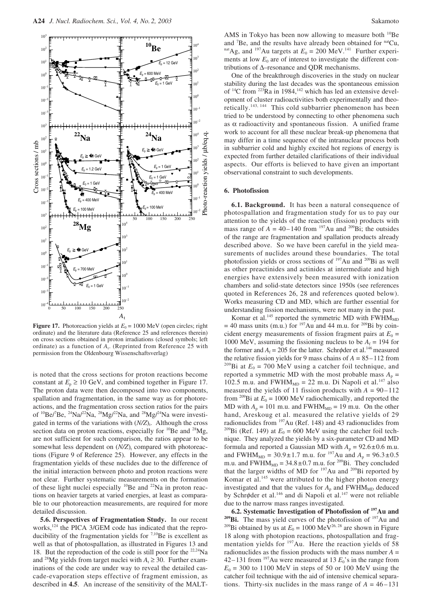

**Figure 17.** Photoreaction yields at  $E_0 = 1000$  MeV (open circles; right ordinate) and the literature data (Reference 25 and references therein) on cross sections obtained in proton irradiations (closed symbols; left ordinate) as a function of  $A_t$ . (Reprinted from Reference 25 with permission from the Oldenbourg Wissenschaftsverlag)

is noted that the cross sections for proton reactions become constant at  $E_p \ge 10$  GeV, and combined together in Figure 17. The proton data were then decomposed into two components, spallation and fragmentation, in the same way as for photoreactions, and the fragmentation cross section ratios for the pairs of  $^{10}$ Be/<sup>7</sup>Be,  $^{24}$ Na/ $^{22}$ Na,  $^{28}$ Mg/ $^{22}$ Na, and  $^{28}$ Mg/ $^{24}$ Na were investigated in terms of the variations with  $(N/Z)$ . Although the cross section data on proton reactions, especially for  $^{10}$ Be and  $^{28}$ Mg, are not sufficient for such comparison, the ratios appear to be somewhat less dependent on  $(N/Z)$ <sub>t</sub> compared with photoreactions (Figure 9 of Reference 25). However, any effects in the fragmentation yields of these nuclides due to the difference of the initial interaction between photo and proton reactions were not clear. Further systematic measurements on the formation of these light nuclei especially  $^{10}$ Be and  $^{22}$ Na in proton reactions on heavier targets at varied energies, at least as comparable to our photoreaction measurements, are required for more detailed discussion.

**5.6. Perspectives of Fragmentation Study.** In our recent works,<sup>124</sup> the PICA 3/GEM code has indicated that the reproducibility of the fragmentation yields for  $7,10$ Be is excellent as well as that of photospallation, as illustrated in Figures 13 and 18. But the reproduction of the code is still poor for the 22,24Na and <sup>28</sup>Mg yields from target nuclei with  $A_t \ge 30$ . Further examinations of the code are under way to reveal the detailed cascade-evaporation steps effective of fragment emission, as described in **4.5**. An increase of the sensitivity of the MALT-

AMS in Tokyo has been now allowing to measure both <sup>10</sup>Be and  ${}^{7}Be$ , and the results have already been obtained for  ${}^{nat}Cu$ , <sup>nat</sup>Ag, and <sup>197</sup>Au targets at  $E_0 = 200$  MeV.<sup>141</sup> Further experiments at low  $E_0$  are of interest to investigate the different contributions of ∆–resonance and QDR mechanisms.

One of the breakthrough discoveries in the study on nuclear stability during the last decades was the spontaneous emission of  $^{14}$ C from  $^{223}$ Ra in 1984,  $^{142}$  which has led an extensive development of cluster radioactivities both experimentally and theoretically.143, 144 This cold subbarrier phenomenon has been tried to be understood by connecting to other phenomena such as  $\alpha$  radioactivity and spontaneous fission. A unified frame work to account for all these nuclear break-up phenomena that may differ in a time sequence of the intranuclear process both in subbarrier cold and highly excited hot regions of energy is expected from further detailed clarifications of their individual aspects. Our efforts is believed to have given an important observational constraint to such developments.

### **6. Photofission**

**6.1. Background.** It has been a natural consequence of photospallation and fragmentation study for us to pay our attention to the yields of the reaction (fission) products with mass range of  $A = 40 - 140$  from <sup>197</sup>Au and <sup>209</sup>Bi; the outsides of the range are fragmentation and spallation products already described above. So we have been careful in the yield measurements of nuclides around these boundaries. The total photofission yields or cross sections of <sup>197</sup>Au and <sup>209</sup>Bi as well as other preactinides and actinides at intermediate and high energies have extensively been measured with ionization chambers and solid-state detectors since 1950s (see references quoted in References 26, 28 and references quoted below). Works measuring CD and MD, which are further essential for understanding fission mechanisms, were not many in the past.

Komar et al.<sup>145</sup> reported the symmetric MD with  $FWHM<sub>MD</sub>$  $= 40$  mass units (m.u.) for <sup>197</sup>Au and 44 m.u. for <sup>209</sup>Bi by coincident energy measurements of fission fragment pairs at  $E_0 =$ 1000 MeV, assuming the fissioning nucleus to be  $A_f = 194$  for the former and  $A_f = 205$  for the latter. Schr $\phi$ der et al.<sup>146</sup> measured the relative fission yields for 9 mass chains of  $A = 85-112$  from <sup>209</sup>Bi at  $E_0 = 700$  MeV using a catcher foil technique, and reported a symmetric MD with the most probable mass  $A_p =$  $102.5$  m.u. and FWHM<sub>MD</sub> = 22 m.u. Di Napoli et al.<sup>147</sup> also measured the yields of 11 fission products with  $A = 90-112$ from <sup>209</sup>Bi at  $E_0 = 1000$  MeV radiochemically, and reported the MD with  $A_p = 101$  m.u. and FWHM<sub>MD</sub> = 19 m.u. On the other hand, Areskoug et al. measured the relative yields of 29 radionuclides from 197Au (Ref. 148) and 43 radionuclides from <sup>209</sup>Bi (Ref. 149) at  $E_0 = 600$  MeV using the catcher foil technique. They analyzed the yields by a six-parameter CD and MD formula and reported a Gaussian MD with  $A_p = 92.6 \pm 0.6$  m.u. and FWHM<sub>MD</sub> = 30.9±1.7 m.u. for <sup>197</sup>Au and  $A_p = 96.3 \pm 0.5$ m.u. and FWHM<sub>MD</sub> =  $34.8 \pm 0.7$  m.u. for <sup>209</sup>Bi. They concluded that the larger widths of MD for <sup>197</sup>Au and <sup>209</sup>Bi reported by Komar et al.<sup>145</sup> were attributed to the higher photon energy investigated and that the values for  $A<sub>p</sub>$  and  $FWHM<sub>MD</sub>$  deduced by Schrøder et al.<sup>146</sup> and di Napoli et al.<sup>147</sup> were not reliable due to the narrow mass ranges investigated.

**6.2. Systematic Investigation of Photofission of 197Au and** <sup>209</sup>Bi. The mass yield curves of the photofission of <sup>197</sup>Au and <sup>209</sup>Bi obtained by us at  $E_0 = 1000 \text{ MeV}^{26,28}$  are shown in Figure 18 along with photopion reactions, photospallation and fragmentation yields for <sup>197</sup>Au. Here the reaction yields of 58 radionuclides as the fission products with the mass number *A* = 42–131 from <sup>197</sup>Au were measured at 13  $E_0$ 's in the range from  $E_0 = 300$  to 1100 MeV in steps of 50 or 100 MeV using the catcher foil technique with the aid of intensive chemical separations. Thirty-six nuclides in the mass range of  $A = 46-131$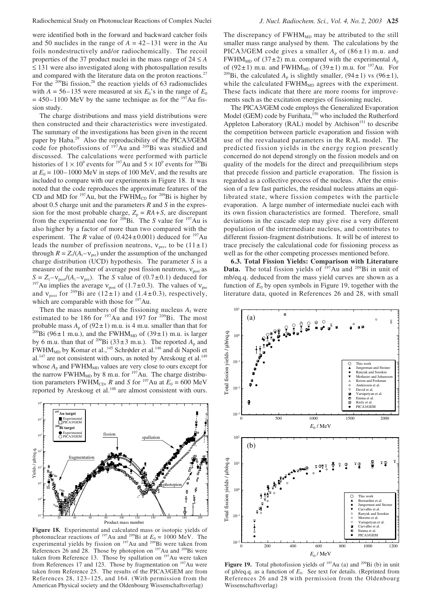were identified both in the forward and backward catcher foils and 50 nuclides in the range of  $A = 42-131$  were in the Au foils nondestructively and/or radiochemically. The recoil properties of the 37 product nuclei in the mass range of  $24 \leq A$  $\leq$  131 were also investigated along with photospallation results and compared with the literature data on the proton reactions.<sup>27</sup> For the  $209$ Bi fission,<sup>28</sup> the reaction yields of 63 radionuclides with  $A = 56-135$  were measured at six  $E_0$ 's in the range of  $E_0$  $= 450-1100$  MeV by the same technique as for the  $197$ Au fission study.

The charge distributions and mass yield distributions were then constructed and their characteristics were investigated. The summary of the investigations has been given in the recent paper by Haba.29 Also the reproducibility of the PICA3/GEM code for photofissions of  $197$ Au and  $209$ Bi was studied and discussed. The calculations were performed with particle histories of  $1 \times 10^9$  events for <sup>197</sup>Au and  $5 \times 10^9$  events for <sup>209</sup>Bi at  $E_0 = 100 - 1000$  MeV in steps of 100 MeV, and the results are included to compare with our experiments in Figure 18. It was noted that the code reproduces the approximate features of the CD and MD for  $197$ Au, but the FWHM<sub>CD</sub> for  $209$ Bi is higher by about 0.5 charge unit and the parameters *R* and *S* in the expression for the most probable charge,  $Z_p = RA + S$ , are discrepant from the experimental one for  $209Bi$ . The *S* value for  $197Au$  is also higher by a factor of more than two compared with the experiment. The *R* value of  $(0.424 \pm 0.001)$  deduced for <sup>197</sup>Au leads the number of prefission neutrons,  $v_{pre}$ , to be  $(11 \pm 1)$ through  $R = Z_t/(A_t - v_{pre})$  under the assumption of the unchanged charge distribution (UCD) hypothesis. The parameter *S* is a measure of the number of average post fission neutrons,  $v_{\text{post}}$  as  $S = Z_t - v_{\text{post}}/(A_t - v_{\text{pre}})$ . The *S* value of (0.7±0.1) deduced for <sup>197</sup>Au implies the average  $v_{\text{post}}$  of (1.7±0.3). The values of  $v_{\text{pre}}$ and  $v_{\text{post}}$  for <sup>209</sup>Bi are (12±1) and (1.4±0.3), respectively, which are comparable with those for <sup>197</sup>Au.

Then the mass numbers of the fissioning nucleus  $A_f$  were estimated to be 186 for  $197$  Au and 197 for  $209$ Bi. The most probable mass  $A_p$  of (92 $\pm$ 1) m.u. is 4 m.u. smaller than that for <sup>09</sup>Bi (96 $\pm$ 1 m.u.), and the FWHM<sub>MD</sub> of (39 $\pm$ 1) m.u. is larger by 6 m.u. than that of <sup>209</sup>Bi (33±3 m.u.). The reported  $A<sub>p</sub>$  and FWHM<sub>MD</sub> by Komar et al.,<sup>145</sup> Schr $φ$ der et al.<sup>146</sup> and di Napoli et al.<sup>147</sup> are not consistent with ours, as noted by Areskoug et al.<sup>149</sup> whose  $A_p$  and FWHM<sub>MD</sub> values are very close to ours except for the narrow FWHM<sub>MD</sub> by 8 m.u. for  $197$ Au. The charge distribution parameters FWHM<sub>CD</sub>, *R* and *S* for <sup>197</sup>Au at  $E_0 = 600 \text{ MeV}$ reported by Areskoug et al.<sup>148</sup> are almost consistent with ours.



**Figure 18.** Experimental and calculated mass or isotopic yields of photonuclear reactions of <sup>197</sup>Au and <sup>209</sup>Bi at  $E_0 = 1000$  MeV. The experimental yields by fission on <sup>197</sup>Au and <sup>209</sup>Bi were taken from References 26 and 28. Those by photopion on 197Au and 209Bi were taken from Reference 13. Those by spallation on  $197$ Au were taken from References 17 and 123. Those by fragmentation on <sup>197</sup>Au were taken from Reference 25. The results of the PICA3/GEM are from References 28, 123–125, and 164. (With permission from the American Physical society and the Oldenbourg Wissenschaftsverlag)

The discrepancy of  $FWHM<sub>MD</sub>$  may be attributed to the still smaller mass range analysed by them. The calculations by the PICA3/GEM code gives a smaller  $A_n$  of (86 $\pm$ 1) m.u. and FWHM<sub>MD</sub> of (37 $\pm$ 2) m.u. compared with the experimental  $A_p$ of (92 $\pm$ 1) m.u. and FWHM<sub>MD</sub> of (39 $\pm$ 1) m.u. for <sup>197</sup>Au. For <sup>209</sup>Bi, the calculated  $A_p$  is slightly smaller, (94 $\pm$ 1) vs (96 $\pm$ 1), while the calculated  $FWHM<sub>MD</sub>$  agrees with the experiment. These facts indicate that there are more rooms for improvements such as the excitation energies of fissioning nuclei.

The PICA3/GEM code employs the Generalized Evaporation Model (GEM) code by Furihata,<sup>150</sup> who included the Rutherford Appleton Laboratory (RAL) model by Atchison<sup>151</sup> to describe the competition between particle evaporation and fission with use of the reevaluated parameters in the RAL model. The predicted fission yields in the energy region presently concerned do not depend strongly on the fission models and on quality of the models for the direct and preequilibrium steps that precede fission and particle evaporation. The fission is regarded as a collective process of the nucleus. After the emission of a few fast particles, the residual nucleus attains an equilibrated state, where fission competes with the particle evaporation. A large number of intermediate nuclei each with its own fission characteristics are formed. Therefore, small deviations in the cascade step may give rise a very different population of the intermediate nucleus, and contributes to different fission-fragment distributions. It will be of interest to trace precisely the calculational code for fissioning process as well as for the other competing processes mentioned before.

**6.3. Total Fission Yields: Comparison with Literature Data.** The total fission yields of <sup>197</sup>Au and <sup>209</sup>Bi in unit of mb/eq.q. deduced from the mass yield curves are shown as a function of  $E_0$  by open symbols in Figure 19, together with the literature data, quoted in References 26 and 28, with small



**Figure 19.** Total photofission yields of  $197$ Au (a) and  $209$ Bi (b) in unit of µb/eq.q. as a function of *E*0. See text for details. (Reprinted from References 26 and 28 with permission from the Oldenbourg Wissenschaftsverlag)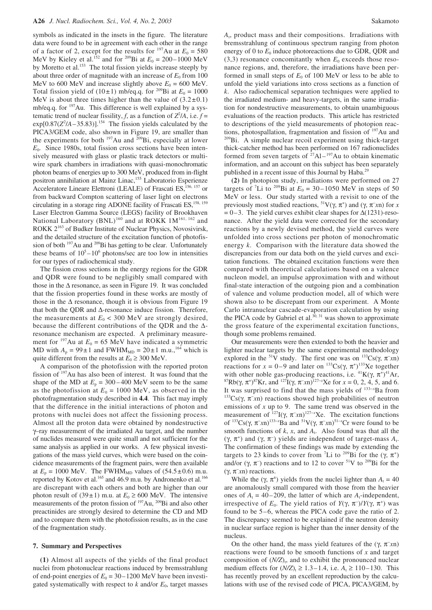symbols as indicated in the insets in the figure. The literature data were found to be in agreement with each other in the range of a factor of 2, except for the results for  $197$ Au at  $E_0 = 580$ MeV by Kieley et al.<sup>152</sup> and for <sup>209</sup>Bi at  $E_0 = 200 - 1000$  MeV by Moretto et al.<sup>153</sup> The total fission yields increase steeply by about three order of magnitude with an increase of  $E_0$  from 100 MeV to 600 MeV and increase slightly above  $E_0 = 600$  MeV. Total fission yield of (10 $\pm$ 1) mb/eq.q. for <sup>209</sup>Bi at  $E_0 = 1000$ MeV is about three times higher than the value of  $(3.2\pm0.1)$ mb/eq.q. for <sup>197</sup>Au. This difference is well explained by a systematic trend of nuclear fissility, *f*, as a function of  $Z^2/A$ , i.e.  $f =$  $exp[0.87(Z^2/A - 35.83)]$ .<sup>154</sup> The fission yields calculated by the PICA3/GEM code, also shown in Figure 19, are smaller than the experiments for both  $197$ Au and  $209$ Bi, especially at lower *E*0. Since 1980s, total fission cross sections have been intensively measured with glass or plastic track detectors or multiwire spark chambers in irradiations with quasi-monochromatic photon beams of energies up to 300 MeV, produced from in-flight positron annihilation at Mainz Linac,<sup>155</sup> Laboratorio Esperienze Acceleratore Lineare Elettroni (LEALE) of Frascati ES,<sup>156, 157</sup> or from backward Compton scattering of laser light on electrons circulating in a storage ring ADONE facility of Frascati ES,<sup>158, 159</sup> Laser Electron Gamma Source (LEGS) facility of Brookhaven National Laboratory (BNL)<sup>160</sup> and at ROKK 1M<sup>161, 162</sup> and ROKK 2163 of Budker Institute of Nuclear Physics, Novosivirsk, and the detailed structure of the excitation function of photofission of both <sup>197</sup>Au and <sup>209</sup>Bi has getting to be clear. Unfortunately these beams of  $10^5 - 10^6$  photons/sec are too low in intensities for our types of radiochemical study.

The fission cross sections in the energy regions for the GDR and QDR were found to be negligibly small compared with those in the  $\Delta$  resonance, as seen in Figure 19. It was concluded that the fission properties found in these works are mostly of those in the  $\Delta$  resonance, though it is obvious from Figure 19 that both the QDR and ∆-resonance induce fission. Therefore, the measurements at  $E_0$  < 300 MeV are strongly desired, because the different contributions of the QDR and the ∆ resonance mechanism are expected. A preliminary measurement for <sup>197</sup>Au at  $E_0 = 65$  MeV have indicated a symmetric MD with  $A_p = 99 \pm 1$  and FWHM<sub>MD</sub> = 20 $\pm 1$  m.u.,<sup>164</sup> which is quite different from the results at  $E_0 \ge 300$  MeV.

A comparison of the photofission with the reported proton fission of <sup>197</sup>Au has also been of interest. It was found that the shape of the MD at  $E_p = 300 - 400$  MeV seem to be the same as the photofission at  $E_0 = 1000 \text{ MeV}$ , as observed in the photofragmentation study described in **4.4**. This fact may imply that the difference in the initial interactions of photon and protons with nuclei does not affect the fissioning process. Almost all the proton data were obtained by nondestructive γ–ray measurement of the irradiated Au target, and the number of nuclides measured were quite small and not sufficient for the same analysis as applied in our works. A few physical investigations of the mass yield curves, which were based on the coincidence measurements of the fragment pairs, were then available at  $E_p = 1000 \text{ MeV}$ . The FWHM<sub>MD</sub> values of  $(54.5 \pm 0.6)$  m.u. reported by Kotov et al.<sup>165</sup> and 46.9 m.u. by Andronenko et al.<sup>166</sup> are discrepant with each others and both are higher than our photon result of  $(39 \pm 1)$  m.u. at  $E_0 \ge 600$  MeV. The intensive measurements of the proton fission of <sup>197</sup>Au, <sup>209</sup>Bi and also other preactinides are strongly desired to determine the CD and MD and to compare them with the photofission results, as in the case of the fragmentation study.

#### **7. Summary and Perspectives**

**(1)** Almost all aspects of the yields of the final product nuclei from photonuclear reactions induced by bremsstrahlung of end-point energies of  $E_0 = 30 - 1200$  MeV have been investigated systematically with respect to  $k$  and/or  $E_0$ , target masses *A*t, product mass and their compositions. Irradiations with bremsstrahlung of continuous spectrum ranging from photon energy of 0 to  $E_0$  induce photoreactions due to GDR, QDR and  $(3,3)$  resonance concomitantly when  $E_0$  exceeds those resonance regions, and, therefore, the irradiations have been performed in small steps of  $E_0$  of 100 MeV or less to be able to unfold the yield variations into cross sections as a function of *k*. Also radiochemical separation techniques were applied to the irradiated medium- and heavy-targets, in the same irradiation for nondestructive measurements, to obtain unambiguous evaluations of the reaction products. This article has restricted to descriptions of the yield measurements of photopion reactions, photospallation, fragmentation and fission of  $197$ Au and  $209$ Bi. A simple nuclear recoil experiment using thick-target thick-catcher method has been performed on 167 radionuclides formed from seven targets of  $27$ Al $-197$ Au to obtain kinematic information, and an account on this subject has been separately published in a recent issue of this Journal by Haba.29

**(2)** In photopion study, irradiations were performed on 27 targets of <sup>7</sup>Li to <sup>209</sup>Bi at  $E_0 = 30 - 1050$  MeV in steps of 50 MeV or less. Our study started with a revisit to one of the previously most studied reactions, <sup>51</sup>V(γ, π<sup>+</sup>) and (γ, π<sup>-</sup>xn) for *x*  $= 0-3$ . The yield curves exhibit clear shapes for  $\Delta(1231)$ -resonance. After the yield data were corrected for the secondary reactions by a newly devised method, the yield curves were unfolded into cross sections per photon of monochromatic energy *k*. Comparison with the literature data showed the discrepancies from our data both on the yield curves and excitation functions. The obtained excitation functions were then compared with theoretical calculations based on a valence nucleon model, an impulse approximation with and without final-state interaction of the outgoing pion and a combination of valence and volume production model, all of which were shown also to be discrepant from our experiment. A Monte Carlo intranuclear cascade-evaporation calculation by using the PICA code by Gabriel et al. $30, 31$  was shown to approximate the gross feature of the experimental excitation functions, though some problems remained.

Our measurements were then extended to both the heavier and lighter nuclear targets by the same experimental methodology explored in the <sup>51</sup>V study. The first one was on <sup>133</sup>Cs( $\gamma$ ,  $\pi$ <sup>-</sup>xn) reactions for  $x = 0-9$  and later on <sup>133</sup>Cs( $\gamma$ ,  $\pi^+$ )<sup>133</sup>Xe together with other noble gas-producing reactions, i.e.  ${}^{41}K(\gamma, \pi^+)^{41}Ar$ , <sup>87</sup>Rb(γ, π<sup>+</sup>)<sup>87</sup>Kr, and <sup>127</sup>I(γ, π<sup>-</sup>xn)<sup>127-*x*</sup>Xe for *x* = 0, 2, 4, 5, and 6. It was surprised to find that the mass yields of 133<sup>−</sup>*<sup>x</sup>* Ba from <sup>133</sup>Cs(γ, π<sup>-</sup>xn) reactions showed high probabilities of neutron emissions of *x* up to 9. The same trend was observed in the measurement of <sup>127</sup>I( $\gamma$ ,  $\pi$ <sup>-</sup>*x*n)<sup>127−*x*</sup>Xe. The excitation functions of <sup>133</sup>Cs(γ, π<sup>−</sup>*x*n)<sup>133−*x*</sup>Ba and <sup>51</sup>V(γ, π<sup>−</sup>*x*n)<sup>51−*x*</sup>Cr were found to be smooth functions of  $k$ ,  $x$ , and  $A_t$ . Also found was that all the (γ,  $\pi^+$ ) and (γ,  $\pi^-$ ) yields are independent of target-mass  $A_t$ . The confirmation of these findings was made by extending the targets to 23 kinds to cover from <sup>7</sup>Li to <sup>209</sup>Bi for the (γ,  $\pi^+$ ) and/or  $(\gamma, \pi^-)$  reactions and to 12 to cover <sup>51</sup>V to <sup>209</sup>Bi for the (γ, π− *x*n) reactions.

While the  $(\gamma, \pi^{\pm})$  yields from the nuclei lighter than  $A_t = 40$ are anomalously small compared with those from the heavier ones of  $A_t = 40-209$ , the latter of which are  $A_t$ -independent, irrespective of  $E_0$ . The yield ratios of  $Y(\gamma, \pi^-)/Y(\gamma, \pi^+)$  was found to be 5–6, whereas the PICA code gave the ratio of 2. The discrepancy seemed to be explained if the neutron density in nuclear surface region is higher than the inner density of the nucleus.

On the other hand, the mass yield features of the (γ, π− *x*n) reactions were found to be smooth functions of *x* and target composition of  $(N/Z)$ <sub>t</sub>, and to exhibit the pronounced nuclear medium effects for  $(N/Z)_t$  ≥ 1.3–1.4, i.e.  $A_t$  ≥ 110–130. This has recently proved by an excellent reproduction by the calculations with use of the revised code of PICA, PICA3/GEM, by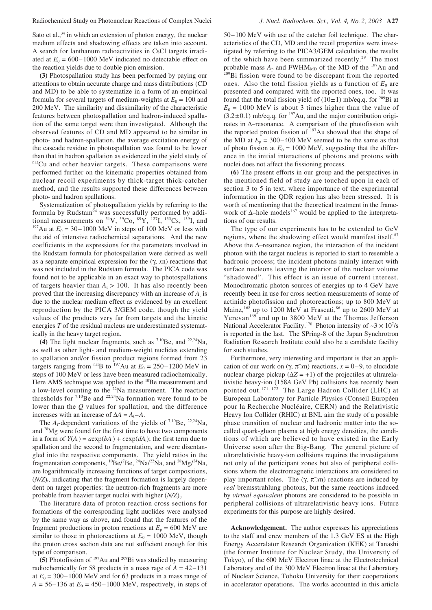Sato et al., $34$  in which an extension of photon energy, the nuclear medium effects and shadowing effects are taken into account. A search for lanthanum radioactivities in CsCl targets irradiated at  $E_0 = 600 - 1000$  MeV indicated no detectable effect on the reaction yields due to double pion emission.

**(3)** Photospallation study has been performed by paying our attentions to obtain accurate charge and mass distributions (CD and MD) to be able to systematize in a form of an empirical formula for several targets of medium-weights at  $E_0 = 100$  and 200 MeV. The similarity and dissimilarity of the characteristic features between photospallation and hadron-induced spallation of the same target were then investigated. Although the observed features of CD and MD appeared to be similar in photo- and hadron-spallation, the average excitation energy of the cascade residue in photospallation was found to be lower than that in hadron spallation as evidenced in the yield study of nat<sub>Cu</sub> and other heavier targets. These comparisons were performed further on the kinematic properties obtained from nuclear recoil experiments by thick-target thick-catcher method, and the results supported these differences between photo- and hadron spallations.

Systematization of photospallation yields by referring to the formula by Rudstam<sup>94</sup> was successfully performed by additional measurements on <sup>51</sup>V, <sup>59</sup>Co, <sup>89</sup>Y, <sup>127</sup>I, <sup>133</sup>Cs, <sup>139</sup>I, and <sup>197</sup>Au at  $E_0 = 30 - 1000 \text{ MeV}$  in steps of 100 MeV or less with the aid of intensive radiochemical separations. And the new coefficients in the expressions for the parameters involved in the Rudstam formula for photospallation were derived as well as a separate empirical expression for the (γ, *x*n) reactions that was not included in the Rudstam formula. The PICA code was found not to be applicable in an exact way to photospallations of targets heavier than  $A_t > 100$ . It has also recently been proved that the increasing discrepancy with an increase of  $A_t$  is due to the nuclear medium effect as evidenced by an excellent reproduction by the PICA 3/GEM code, though the yield values of the products very far from targets and the kinetic energies *T* of the residual nucleus are underestimated systematically in the heavy target region.

**(4)** The light nuclear fragments, such as <sup>7,10</sup>Be, and <sup>22,24</sup>Na, as well as other light- and medium-weight nuclides extending to spallation and/or fission product regions formed from 23 targets ranging from <sup>nat</sup>B to <sup>197</sup>Au at  $E_0 = 250 - 1200$  MeV in steps of 100 MeV or less have been measured radiochemically. Here AMS technique was applied to the <sup>10</sup>Be measurement and a low-level counting to the  $22$ Na measurement. The reaction thresholds for  $7,10$ Be and  $22,24$ Na formation were found to be lower than the *Q* values for spallation, and the difference increases with an increase of  $\Delta A = A_t - A$ .

The  $A_t$ -dependent variations of the yields of  $^{7,10}$ Be,  $^{22,24}$ Na, and 28Mg were found for the first time to have two components in a form of  $Y(A_t) = a \exp(bA_t) + c \exp(dA_t)$ ; the first term due to spallation and the second to fragmentation, and were disentangled into the respective components. The yield ratios in the fragmentation components,  ${}^{10}$ Be/<sup>7</sup>Be,  ${}^{24}$ Na/ ${}^{22}$ Na, and  ${}^{28}$ Mg/ ${}^{24}$ Na, are logarithmically increasing functions of target compositions,  $(N/Z)$ <sub>t</sub>, indicating that the fragment formation is largely dependent on target properties: the neutron-rich fragments are more probable from heavier target nuclei with higher (*N/Z*)<sub>t</sub>.

The literature data of proton reaction cross sections for formations of the corresponding light nuclides were analysed by the same way as above, and found that the features of the fragment productions in proton reactions at  $E_p = 600 \text{ MeV}$  are similar to those in photoreactions at  $E_0 = 1000$  MeV, though the proton cross section data are not sufficient enough for this type of comparison.

**(5)** Photofission of 197Au and 209Bi was studied by measuring radiochemically for 58 products in a mass rage of *A* = 42–131 at  $E_0 = 300 - 1000$  MeV and for 63 products in a mass range of  $A = 56 - 136$  at  $E_0 = 450 - 1000$  MeV, respectively, in steps of 50–100 MeV with use of the catcher foil technique. The characteristics of the CD, MD and the recoil properties were investigated by referring to the PICA3/GEM calculation, the results of the which have been summarized recently.<sup>29</sup> The most probable mass  $A_p$  and FWHM<sub>MD</sub> of the MD of the <sup>197</sup>Au and <sup>209</sup>Bi fission were found to be discrepant from the reported ones. Also the total fission yields as a function of  $E_0$  are presented and compared with the reported ones, too. It was found that the total fission yield of  $(10±1)$  mb/eq.q. for <sup>209</sup>Bi at  $E_0 = 1000$  MeV is about 3 times higher than the value of  $(3.2\pm0.1)$  mb/eq.q. for <sup>197</sup>Au, and the major contribution originates in ∆–resonance. A comparison of the photofission with the reported proton fission of  $197$ Au showed that the shape of the MD at  $E_p = 300-400$  MeV seemed to be the same as that of photo fission at  $E_0 = 1000$  MeV, suggesting that the difference in the initial interactions of photons and protons with nuclei does not affect the fissioning process.

**(6)** The present efforts in our group and the perspectives in the mentioned field of study are touched upon in each of section 3 to 5 in text, where importance of the experimental information in the QDR region has also been stressed. It is worth of mentioning that the theoretical treatment in the framework of ∆–hole models<sup>167</sup> would be applied to the interpretations of our results.

The type of our experiments has to be extended to GeV regions, where the shadowing effect would manifest itself.<sup>87</sup> Above the ∆–resonance region, the interaction of the incident photon with the target nucleus is reported to start to resemble a hadronic process; the incident photons mainly interact with surface nucleons leaving the interior of the nuclear volume "shadowed". This effect is an issue of current interest. Monochromatic photon sources of energies up to 4 GeV have recently been in use for cross section measurements of some of actinide photofission and photoreactions; up to 800 MeV at Mainz,<sup>168</sup> up to 1200 MeV at Frascati,<sup>86</sup> up to 2600 MeV at Yerevan<sup>169</sup> and up to 3800 MeV at the Thomas Jefferson National Accelerator Facility.<sup>170</sup> Photon intensity of  $\sim$ 3 × 10<sup>7</sup>/s is reported in the last. The SPring-8 of the Japan Synchrotron Radiation Research Institute could also be a candidate facility for such studies.

Furthermore, very interesting and important is that an application of our work on (γ,  $π<sup>−</sup> xn$ ) reactions,  $x = 0-9$ , to elucidate nuclear charge pickup ( $\Delta Z = +1$ ) of the projectiles at ultrarelativistic heavy-ion (158*A* GeV Pb) collisions has recently been pointed out.171, 172 The Large Hadron Collider (LHC) at European Laboratory for Particle Physics (Conseil Européen pour la Recherche Nucléaire, CERN) and the Relativistic Heavy Ion Collider (RHIC) at BNL aim the study of a possible phase transition of nuclear and hadronic matter into the socalled quark-gluon plasma at high energy densities, the conditions of which are believed to have existed in the Early Universe soon after the Big-Bang. The general picture of ultrarelativistic heavy-ion collisions requires the investigations not only of the participant zones but also of peripheral collisions where the electromagnetic interactions are considered to play important roles. The (γ, π− *x*n) reactions are induced by *real* bremsstrahlung photons, but the same reactions induced by *virtual equivalent* photons are considered to be possible in peripheral collisions of ultrarelativistic heavy ions. Future experiments for this purpose are highly desired.

**Acknowledgement.** The author expresses his appreciations to the staff and crew members of the 1.3 GeV ES at the High Energy Acceralator Research Organization (KEK) at Tanashi (the former Institute for Nuclear Study, the University of Tokyo), of the 600 MeV Electron linac at the Electrotechnical Laboratory and of the 300 MeV Electron linac at the Laboratory of Nuclear Science, Tohoku University for their cooperations in accelerator operations. The works accounted in this article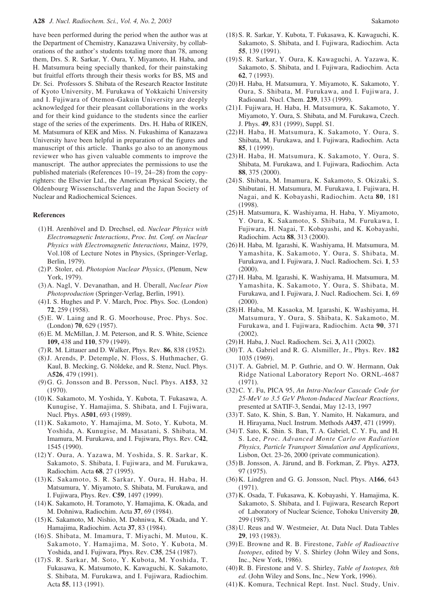have been performed during the period when the author was at the Department of Chemistry, Kanazawa University, by collaborations of the author's students totaling more than 78, among them, Drs. S. R. Sarkar, Y. Oura, Y. Miyamoto, H. Haba, and H. Matsumura being specially thanked, for their painstaking but fruitful efforts through their thesis works for BS, MS and Dr. Sci. Professors S. Shibata of the Research Reactor Institute of Kyoto University, M. Furukawa of Yokkaichi University and I. Fujiwara of Otemon-Gakuin University are deeply acknowledged for their pleasant collaborations in the works and for their kind guidance to the students since the earlier stage of the series of the experiments. Drs. H. Haba of RIKEN, M. Matsumura of KEK and Miss. N. Fukushima of Kanazawa University have been helpful in preparation of the figures and manuscript of this article. Thanks go also to an anonymous reviewer who has given valuable comments to improve the manuscript. The author appreciates the permissions to use the published materials (References 10–19, 24–28) from the copyrighters: the Elsevier Ltd., the American Physical Society, the Oldenbourg Wissenschaftsverlag and the Japan Society of Nuclear and Radiochemical Sciences.

# **References**

- (1) H. Arenhövel and D. Drechsel, ed. *Nuclear Physics with Electromagnetic Interactions*, *Proc. Int. Conf. on Nuclear Physics with Electromagnetic Interactions*, Mainz, 1979, Vol.108 of Lecture Notes in Physics, (Springer-Verlag, Berlin, 1979).
- (2) P. Stoler, ed. *Photopion Nuclear Physics*, (Plenum, New York, 1979).
- (3) A. Nagl, V. Devanathan, and H. Überall, *Nuclear Pion Photoproduction* (Springer-Verlag, Berlin, 1991).
- (4) I. S. Hughes and P. V. March, Proc. Phys. Soc. (London) **72**, 259 (1958).
- (5) E. W. Laing and R. G. Moorhouse, Proc. Phys. Soc. (London) **70**, 629 (1957).
- (6) E. M. McMillan, J. M. Peterson, and R. S. White, Science **109,** 438 and **110**, 579 (1949).
- (7) R. M. Littauer and D. Walker, Phys. Rev. **86**, 838 (1952).
- (8) J. Arends, P. Detemple, N. Floss, S. Huthmacher, G. Kaul, B. Mecking, G. Nöldeke, and R. Stenz, Nucl. Phys. A**526**, 479 (1991).
- (9) G. G. Jonsson and B. Persson, Nucl. Phys. A**153**, 32 (1970).
- (10) K. Sakamoto, M. Yoshida, Y. Kubota, T. Fukasawa, A. Kunugise, Y. Hamajima, S. Shibata, and I. Fujiwara, Nucl. Phys. A**501**, 693 (1989).
- (11) K. Sakamoto, Y. Hamajima, M. Soto, Y. Kubota, M. Yoshida, A. Kunugise, M. Masatani, S. Shibata, M. Imamura, M. Furukawa, and I. Fujiwara, Phys. Rev. C**42**, 1545 (1990).
- (12) Y. Oura, A. Yazawa, M. Yoshida, S. R. Sarkar, K. Sakamoto, S. Shibata, I. Fujiwara, and M. Furukawa, Radiochim. Acta **68**, 27 (1995).
- (13) K. Sakamoto, S. R. Sarkar, Y. Oura, H. Haba, H. Matsumura, Y. Miyamoto, S. Shibata, M. Furukawa, and I. Fujiwara, Phys. Rev. **C59**, 1497 (1999).
- (14) K. Sakamoto, H. Toramoto, Y. Hamajima, K. Okada, and M. Dohniwa, Radiochim. Acta **37**, 69 (1984).
- (15) K. Sakamoto, M. Nishio, M. Dohniwa, K. Okada, and Y. Hamajima, Radiochim. Acta **37**, 83 (1984).
- (16) S. Shibata, M. Imamura, T. Miyachi, M. Mutou, K. Sakamoto, Y. Hamajima, M. Soto, Y. Kubota, M. Yoshida, and I. Fujiwara, Phys. Rev. C**35**, 254 (1987).
- (17) S. R. Sarkar, M. Soto, Y. Kubota, M. Yoshida, T. Fukasawa, K. Matsumoto, K. Kawaguchi, K. Sakamoto, S. Shibata, M. Furukawa, and I. Fujiwara, Radiochim. Acta **55**, 113 (1991).
- (18) S. R. Sarkar, Y. Kubota, T. Fukasawa, K. Kawaguchi, K. Sakamoto, S. Shibata, and I. Fujiwara, Radiochim. Acta **55**, 139 (1991).
- (19) S. R. Sarkar, Y. Oura, K. Kawaguchi, A. Yazawa, K. Sakamoto, S. Shibata, and I. Fujiwara, Radiochim. Acta **62**, 7 (1993).
- (20) H. Haba, H. Matsumura, Y. Miyamoto, K. Sakamoto, Y. Oura, S. Shibata, M. Furukawa, and I. Fujiwara, J. Radioanal. Nucl. Chem. **239**, 133 (1999).
- (21) I. Fujiwara, H. Haba, H. Matsumura, K. Sakamoto, Y. Miyamoto, Y. Oura, S. Shibata, and M. Furukawa, Czech. J. Phys. **49**, 831 (1999), Suppl. S1.
- (22) H. Haba, H. Matsumura, K. Sakamoto, Y. Oura, S. Shibata, M. Furukawa, and I. Fujiwara, Radiochim. Acta **85**, 1 (1999).
- (23) H. Haba, H. Matsumura, K. Sakamoto, Y. Oura, S. Shibata, M. Furukawa, and I. Fujiwara, Radiochim. Acta **88**, 375 (2000).
- (24) S. Shibata, M. Imamura, K. Sakamoto, S. Okizaki, S. Shibutani, H. Matsumura, M. Furukawa, I. Fujiwara, H. Nagai, and K. Kobayashi, Radiochim. Acta **80**, 181 (1998).
- (25) H. Matsumura, K. Washiyama, H. Haba, Y. Miyamoto, Y. Oura, K. Sakamoto, S. Shibata, M. Furukawa, I. Fujiwara, H. Nagai, T. Kobayashi, and K. Kobayashi, Radiochim. Acta **88**, 313 (2000).
- (26) H. Haba, M. Igarashi, K. Washiyama, H. Matsumura, M. Yamashita, K. Sakamoto, Y. Oura, S. Shibata, M. Furukawa, and I. Fujiwara, J. Nucl. Radiochem. Sci. **1**, 53 (2000).
- (27) H. Haba, M. Igarashi, K. Washiyama, H. Matsumura, M. Yamashita, K. Sakamoto, Y. Oura, S. Shibata, M. Furukawa, and I. Fujiwara, J. Nucl. Radiochem. Sci. **1**, 69 (2000).
- (28) H. Haba, M. Kasaoka, M. Igarashi, K. Washiyama, H. Matsumura, Y. Oura, S. Shibata, K. Sakamoto, M. Furukawa, and I. Fujiwara, Radiochim. Acta **90**, 371 (2002).
- (29) H. Haba, J. Nucl. Radiochem. Sci. **3,** A11 (2002).
- (30) T. A. Gabriel and R. G. Alsmiller, Jr., Phys. Rev. **182** 1035 (1969).
- (31) T. A. Gabriel, M. P. Guthrie, and O. W. Hermann, Oak Ridge National Laboratory Report No. ORNL-4687 (1971).
- (32) C. Y. Fu, PICA 95, *An Intra-Nuclear Cascade Code for 25-MeV to 3.5 GeV Photon-Induced Nuclear Reactions*, presented at SATIF-3, Sendai, May 12-13, 1997
- (33) T. Sato, K. Shin, S. Ban, Y. Namito, H. Nakamura, and H. Hirayama, Nucl. Instrum. Methods A**437**, 471 (1999).
- (34) T. Sato, K. Shin. S. Ban, T. A. Gabriel, C. Y. Fu, and H. S. Lee, *Proc. Advanced Monte Carlo on Radiation Physics, Particle Transport Simulation and Applications*, Lisbon, Oct. 23-26, 2000 (private communication).
- (35) B. Jonsson, A. Järund, and B. Forkman, Z. Phys. A**273**, 97 (1975).
- (36) K. Lindgren and G. G. Jonsson, Nucl. Phys. A**166**, 643 (1971).
- (37) K. Osada, T. Fukasawa, K. Kobayashi, Y. Hamajima, K. Sakamoto, S. Shibata, and I. Fujiwara, Research Report of Laboratory of Nuclear Science, Tohoku University **20**, 299 (1987).
- (38) U. Reus and W. Westmeier, At. Data Nucl. Data Tables **29**, 193 (1983).
- (39) E. Browne and R. B. Firestone, *Table of Radioactive Isotopes*, edited by V. S. Shirley (John Wiley and Sons, Inc., New York, 1986).
- (40) R. B. Firestone and V. S. Shirley, *Table of Isotopes, 8th ed*. (John Wiley and Sons, Inc., New York, 1996).
- (41) K. Komura, Technical Rept. Inst. Nucl. Study, Univ.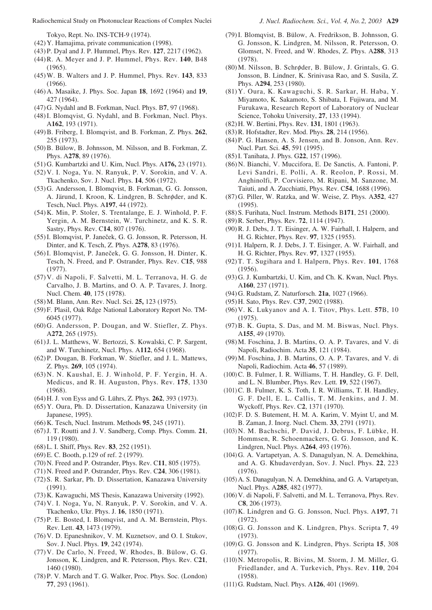Radiochemical Study on Photonuclear Reactions of Complex Nuclei *J. Nucl. Radiochem. Sci., Vol. 4, No. 2, 2003* **A29**

Tokyo, Rept. No. INS-TCH-9 (1974).

- (42) Y. Hamajima, private communication (1998).
- (43) P. Dyal and J. P. Hummel, Phys. Rev. **127**, 2217 (1962).
- (44) R. A. Meyer and J. P. Hummel, Phys. Rev. **140**, B48 (1965).
- (45) W. B. Walters and J. P. Hummel, Phys. Rev. **143**, 833 (1966).
- (46) A. Masaike, J. Phys. Soc. Japan **18**, 1692 (1964) and **19**, 427 (1964).
- (47) G. Nydahl and B. Forkman, Nucl. Phys. B**7**, 97 (1968).
- (48) I. Blomqvist, G. Nydahl, and B. Forkman, Nucl. Phys. A**162**, 193 (1971).
- (49) B. Friberg, I. Blomqvist, and B. Forkman, Z. Phys. **262**, 255 (1973).
- (50) B. Bülow, B. Johnsson, M. Nilsson, and B. Forkman, Z. Phys. A**278**, 89 (1976).
- (51) G. Kumbartzki and U. Kim, Nucl. Phys. A**176,** 23 (1971).
- (52) V. I. Noga, Yu. N. Ranyuk, P. V. Sorokin, and V. A. Tkachenko, Sov. J. Nucl. Phys. **14**, 506 (1972).
- (53) G. Andersson, I. Blomqvist, B. Forkman, G. G. Jonsson, A. Järund, I. Kroon, K. Lindgren, B. Schrφder, and K. Tesch, Nucl. Phys. A**197**, 44 (1972).
- (54) K. Min, P. Stoler, S. Trentalange, E. J. Winhold, P. F. Yergin, A. M. Bernstein, W. Turchinetz, and K. S. R. Sastry, Phys. Rev. C**14**, 807 (1976).
- (55) I. Blomqvist, P. Janeček, G. G. Jonsson, R. Petersson, H. Dinter, and K. Tesch, Z. Phys. A**278**, 83 (1976).
- (56) I. Blomqvist, P. Janeček, G. G. Jonsson, H. Dinter, K. Tesch, N. Freed, and P. Ostrander, Phys. Rev. C**15**, 988 (1977).
- (57) V. di Napoli, F. Salvetti, M. L. Terranova, H. G. de Carvalho, J. B. Martins, and O. A. P. Tavares, J. Inorg. Nucl. Chem. **40**, 175 (1978).
- (58) M. Blann, Ann. Rev. Nucl. Sci. **25,** 123 (1975).
- (59) F. Plasil, Oak Rdge National Laboratory Report No. TM-6045 (1977).
- (60) G. Andersson, P. Dougan, and W. Stiefler, Z. Phys. A**272**, 265 (1975).
- (61) J. L. Matthews, W. Bertozzi, S. Kowalski, C. P. Sargent, and W. Turchinetz, Nucl. Phys. A**112**, 654 (1968).
- (62) P. Dougan, B. Forkman, W. Stiefler, and J. L. Mattews, Z. Phys. **269**, 105 (1974).
- (63) N. N. Kaushal, E. J. Winhold, P. F. Yergin, H. A. Medicus, and R. H. Auguston, Phys. Rev. **175**, 1330 (1968).
- (64) H. J. von Eyss and G. Lührs, Z. Phys. **262**, 393 (1973).
- (65) Y. Oura, Ph. D. Dissertation, Kanazawa University (in Japanese, 1995).
- (66) K. Tesch, Nucl. Instrum. Methods **95**, 245 (1971).
- (67) J. T. Routti and J. V. Sandberg, Comp. Phys. Comm. **21**, 119 (1980).
- (68) L. I. Shiff, Phys. Rev. **83**, 252 (1951).
- (69) E. C. Booth, p.129 of ref. 2 (1979).
- (70) N. Freed and P. Ostrander, Phys. Rev. C**11**, 805 (1975).
- (71) N. Freed and P. Ostrander, Phys. Rev. C**24**, 306 (1981).
- (72) S. R. Sarkar, Ph. D. Dissertation, Kanazawa University (1991).
- (73) K. Kawaguchi, MS Thesis, Kanazawa University (1992).
- (74) V. I. Noga, Yu, N. Ranyuk, P. V. Sorokin, and V. A. Tkachenko, Ukr. Phys. J. **16**, 1850 (1971).
- (75) P. E. Bosted, I. Blomqvist, and A. M. Bernstein, Phys. Rev. Lett. **43**, 1473 (1979).
- (76) V. D. Epaneshnikov, V. M. Kuznetsov, and O. I. Stukov, Sov. J. Nucl. Phys. **19**, 242 (1974).
- (77) V. De Carlo, N. Freed, W. Rhodes, B. Bülow, G. G. Jonsson, K. Lindgren, and R. Petersson, Phys. Rev. C**21**, 1460 (1980).
- (78) P. V. March and T. G. Walker, Proc. Phys. Soc. (London) **77**, 293 (1961).
- (79) I. Blomqvist, B. Bülow, A. Fredrikson, B. Johnsson, G. G. Jonsson, K. Lindgren, M. Nilsson, R. Petersson, O. Glomset, N. Freed, and W. Rhodes, Z. Phys. A**288**, 313 (1978).
- (80) M. Nilsson, B. Schrφder, B. Bülow, J. Grintals, G. G. Jonsson, B. Lindner, K. Srinivasa Rao, and S. Susila, Z. Phys. A**294**, 253 (1980).
- (81) Y. Oura, K. Kawaguchi, S. R. Sarkar, H. Haba, Y. Miyamoto, K. Sakamoto, S. Shibata, I. Fujiwara, and M. Furukawa, Research Report of Laboratory of Nuclear Science, Tohoku University, **27**, 133 (1994).
- (82) H. W. Bertini, Phys. Rev. **131**, 1801 (1963).
- (83) R. Hofstadter, Rev. Mod. Phys. **28**, 214 (1956).
- (84) P. G. Hansen, A. S. Jensen, and B. Jonson, Ann. Rev. Nucl. Part. Sci. **45**, 591 (1995).
- (85) I. Tanihata, J. Phys. G**22**, 157 (1996).
- (86) N. Bianchi, V. Muccifora, E. De Sanctis, A. Fantoni, P. Levi Sandri, E. Polli, A. R. Reolon, P. Rossi, M. Anghinolfi, P. Corvisiero, M. Ripani, M. Sanzone, M. Taiuti, and A. Zucchiatti, Phys. Rev. C**54**, 1688 (1996).
- (87) G. Piller, W. Ratzka, and W. Weise, Z. Phys. A**352**, 427 (1995).
- (88) S. Furihata, Nucl. Instrum. Methods B**171**, 251 (2000).
- (89) R. Serber, Phys. Rev. **72**, 1114 (1947).
- (90) R. J. Debs, J. T. Eisinger, A. W. Fairhall, I. Halpern, and H. G. Richter, Phys. Rev. **97**, 1325 (1955).
- (91) I. Halpern, R. J. Debs, J. T. Eisinger, A. W. Fairhall, and H. G. Richter, Phys. Rev. **97**, 1327 (1955).
- (92) T. T. Sugihara and I. Halpern, Phys. Rev. **101**, 1768 (1956).
- (93) G. J. Kumbartzki, U. Kim, and Ch. K. Kwan, Nucl. Phys. A**160**, 237 (1971).
- (94) G. Rudstam, Z. Naturforsch. **21a**, 1027 (1966).
- (95) H. Sato, Phys. Rev. C**37**, 2902 (1988).
- (96) V. K. Lukyanov and A. I. Titov, Phys. Lett. **57**B, 10 (1975).
- (97) B. K. Gupta, S. Das, and M. M. Biswas, Nucl. Phys. A**155**, 49 (1970).
- (98) M. Foschina, J. B. Martins, O. A. P. Tavares, and V. di Napoli, Radiochim. Acta **35**, 121 (1984).
- (99) M. Foschina, J. B. Martins, O. A. P. Tavares, and V. di Napoli, Radiochim. Acta **46**, 57 (1989).
- (100)C. B. Fulmer, I. R. Williams, T. H. Handley, G. F. Dell, and L. N. Blumber, Phys. Rev. Lett. **19**, 522 (1967).
- (101)C. B. Fulmer, K. S. Toth, I. R. Williams, T. H. Handley, G. F. Dell, E. L. Callis, T. M. Jenkins, and J. M. Wyckoff, Phys. Rev. C**2**, 1371 (1970).
- (102)F. D. S. Butement, H. M. A. Karim, V. Myint U, and M. B. Zaman, J. Inorg. Nucl. Chem. **33**, 2791 (1971).
- (103)N. M. Bachschi, P. David, J. Debrus, F. Lübke, H. Hommsen, R. Schoenmackers, G. G. Jonsson, and K. Lindgren, Nucl. Phys. A**264**, 493 (1976).
- (104)G. A. Vartapetyan, A. S. Danagulyan, N. A. Demekhina, and A. G. Khudaverdyan, Sov. J. Nucl. Phys. **22**, 223 (1976).
- (105)A. S. Danagulyan, N. A. Demekhina, and G. A. Vartapetyan, Nucl. Phys. A**285**, 482 (1977).
- (106)V. di Napoli, F. Salvetti, and M. L. Terranova, Phys. Rev. C**8**, 206 (1973).
- (107)K. Lindgren and G. G. Jonsson, Nucl. Phys. A**197**, 71 (1972).
- (108)G. G. Jonsson and K. Lindgren, Phys. Scripta **7**, 49 (1973).
- (109)G. G. Jonsson and K. Lindgren, Phys. Scripta **15**, 308 (1977).
- (110)N. Metropolis, R. Bivins, M. Storm, J. M. Miller, G. Friedlander, and A. Turkevich, Phys. Rev. **110**, 204 (1958).
- (111)G. Rudstam, Nucl. Phys. A**126**, 401 (1969).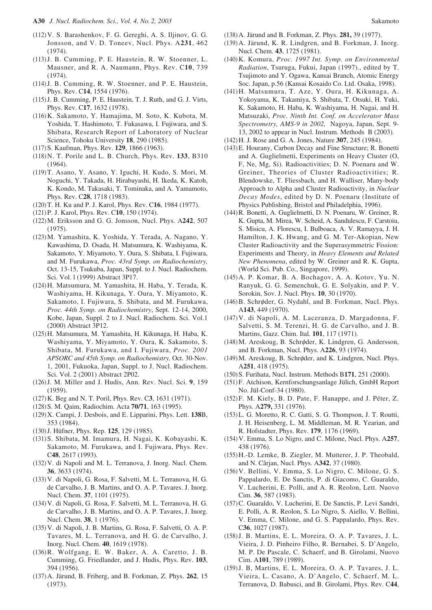- (112)V. S. Barashenkov, F. G. Gereghi, A. S. Iljinov, G. G. Jonsson, and V. D. Toneev, Nucl. Phys. A**231**, 462  $(1974)$ .
- (113)J. B. Cumming, P. E. Haustein, R. W. Stoenner, L. Mausner, and R. A. Naumann, Phys. Rev. C**10**, 739 (1974).
- (114)J. B. Cumming, R. W. Stoenner, and P. E. Haustein, Phys. Rev. C**14**, 1554 (1976).
- (115)J. B. Cumming, P. E. Haustein, T. J. Ruth, and G. J. Virts, Phys. Rev. C**17**, 1632 (1978).
- (116)K. Sakamoto, Y. Hamajima, M. Soto, K. Kubota, M. Yoshida, T. Hashimoto, T. Fukasawa, I. Fujiwara, and S. Shibata, Research Report of Laboratory of Nuclear Science, Tohoku University **18**, 290 (1985).
- (117)S. Kaufman, Phys. Rev. **129**, 1866 (1963).
- (118)N. T. Porile and L. B. Church, Phys. Rev. **133**, B310  $(1964)$ .
- (119)T. Asano, Y. Asano, Y. Iguchi, H. Kudo, S. Mori, M. Noguchi, Y. Takada, H. Hirabayashi, H. Ikeda, K. Katoh, K. Kondo, M. Takasaki, T. Tominaka, and A. Yamamoto, Phys. Rev. C**28**, 1718 (1983).
- (120)T. H. Ku and P. J. Karol, Phys. Rev. C**16**, 1984 (1977).
- (121)P. J. Karol, Phys. Rev. C**10**, 150 (1974).
- (122)M. Eriksson and G. G. Jonsson, Nucl. Phys. A**242**, 507 (1975).
- (123)M. Yamashita, K. Yoshida, Y. Terada, A. Nagano, Y. Kawashima, D. Osada, H. Matsumura, K. Washiyama, K. Sakamoto, Y. Miyamoto, Y. Oura, S. Shibata, I. Fujiwara, and M. Furukawa, *Proc. 43rd Symp. on Radiochemistry,* Oct. 13-15, Tsukuba, Japan, Suppl. to J. Nucl. Radiochem. Sci. Vol. l (1999) Abstract 3P17.
- (124)H. Matsumura, M. Yamashita, H. Haba, Y. Terada, K. Washiyama, H. Kikunaga, Y. Oura, Y. Miyamoto, K. Sakamoto, I. Fujiwara, S. Shibata, and M. Furukawa, *Proc. 44th Symp. on Radiochemistry*, Sept. 12-14, 2000, Kobe, Japan, Suppl. 2 to J. Nucl. Radiochem. Sci. Vol.1 (2000) Abstract 3P12.
- (125)H. Matsumura, M. Yamashita, H. Kikunaga, H. Haba, K. Washiyama, Y. Miyamoto, Y. Oura, K. Sakamoto, S. Shibata, M. Furukawa, and I. Fujiwara, *Proc. 2001 APSORC and 45th Symp. on Radiochemistry,* Oct. 30-Nov. 1, 2001, Fukuoka, Japan, Suppl. to J. Nucl. Radiochem. Sci. Vol. 2 (2001) Abstract 2P02.
- (126)J. M. Miller and J. Hudis, Ann. Rev. Nucl. Sci. **9**, 159 (1959).
- (127)K. Beg and N. T. Poril, Phys. Rev. C**3**, 1631 (1971).
- (128)S. M. Qaim, Radiochim. Acta **70/71**, 163 (1995).
- (129)X. Campi, J. Desbois, and E. Lipparini, Phys. Lett. **138**B, 353 (1984).
- (130)J. Hüfner, Phys. Rep. **125**, 129 (1985).
- (131)S. Shibata, M. Imamura, H. Nagai, K. Kobayashi, K. Sakamoto, M. Furukawa, and I. Fujiwara, Phys. Rev. C**48**, 2617 (1993).
- (132)V. di Napoli and M. L. Terranova, J. Inorg. Nucl. Chem. **36**, 3633 (1974).
- (133)V. di Napoli, G. Rosa, F. Salvetti, M. L. Terranova, H. G. de Carvalho, J. B. Martins, and O. A. P. Tavares. J. Inorg. Nucl. Chem. **37**, 1101 (1975).
- (134)V. di Napoli, G. Rosa, F. Salvetti, M. L. Terranova, H. G. de Carvalho, J. B. Martins, and O. A. P. Tavares, J. Inorg. Nucl. Chem. **38**, 1 (1976).
- (135)V. di Napoli, J. B. Martins, G. Rosa, F. Salvetti, O. A. P. Tavares, M. L. Terranova, and H. G. de Carvalho, J. Inorg. Nucl. Chem. **40**, 1619 (1978).
- (136)R. Wolfgang, E. W. Baker, A. A. Caretto, J. B. Cumming, G. Friedlander, and J. Hudis, Phys. Rev. **103**, 394 (1956).
- (137)A. Järund, B. Friberg, and B. Forkman, Z. Phys. **262**, 15 (1973).
- (139)A. Järund, K. R. Lindgren, and B. Forkman, J. Inorg. Nucl. Chem. **43**, 1725 (1981).
- (140)K. Komura, *Proc. 1997 Int. Symp. on Environmental Radiation*, Tsuruga, Fukui, Japan (1997)., edited by T. Tsujimoto and Y. Ogawa, Kansai Branch, Atomic Energy Soc. Japan, p.56 (Kansai Kosaido Co. Ltd. Osaka, 1998).
- (141)H. Matsumura, T. Aze, Y. Oura, H. Kikunaga, A. Yokoyama, K. Takamiya, S. Shibata, T. Otsuki, H. Yuki, K. Sakamoto, H. Haba, K. Washiyama, H. Nagai, and H. Matsuzaki, *Proc. Ninth Int. Conf. on Accelerator Mass Spectrometry, AMS-9 in 2002,* Nagoya, Japan, Sept. 9- 13, 2002 to appear in Nucl. Instrum. Methods B (2003).
- (142)H. J. Rose and G. A. Jones, Nature **307**, 245 (1984).
- (143)E. Hourany, Carbon Decay and Fine Structure; R. Bonetti and A. Guglielmetti, Experiments on Heavy Cluster (O, F, Ne, Mg, Si). Radioactivities; D. N. Poenaru and W. Greiner, Theories of Cluster Radioactivities; R. Blendowske, T. Fliessbach, and H. Walliser, Many-body Approach to Alpha and Cluster Radioactivity, in *Nuclear Decay Modes*, edited by D. N. Poenaru (Institute of Physics Publishing, Bristol and Philadelphia, 1996).
- (144)R. Bonetti, A. Guglielmetti, D. N. Poenaru, W. Greiner, R. K. Gupta, M. Mirea, W. Scheid, A. Sandulescu, F. Carstoiu, S. Misicu, A. Florescu, I. Bulboaca, A. V. Ramayya, J. H. Hamilton, J. K. Hwang, and G. M. Ter-Akopian, New Cluster Radioactivity and the Superasymmetric Fission: Experiments and Theory, in *Heavy Elements and Related New Phenomena*, edited by W. Greiner and R. K. Gupta, (World Sci. Pub. Co., Singapore, 1999).
- (145)A. P. Komar, B. A. Bochagov, A. A. Kotov, Yu. N. Ranyuk, G. G. Semenchuk, G. E. Solyakin, and P. V. Sorokin, Sov. J. Nucl. Phys. **10**, 30 (1970).
- (146)B. Schrφder, G. Nydahl, and B. Forkman, Nucl. Phys. A**143**, 449 (1970).
- (147)V. di Napoli, A. M. Laceranza, D. Margadonna, F. Salvetti, S. M. Terenzi, H. G. de Carvalho, and J. B. Martins, Gazz. Chim. Ital. **101**, 117 (1971).
- (148)M. Areskoug, B. Schrφder, K. Lindgren, G. Andersson, and B. Forkman, Nucl. Phys. A**226**, 93 (1974).
- (149)M. Areskoug, B. Schrφder, and K. Lindgren, Nucl. Phys. A**251**, 418 (1975).
- (150)S. Furihata, Nucl. Instrum. Methods B**171**, 251 (2000).
- (151)F. Atchison, Kernforschungsanlage Jülich, GmbH Report No. Jül-Conf-34 (1980).
- (152)F. M. Kiely, B. D. Pate, F. Hanappe, and J. Péter, Z. Phys. A**279,** 331 (1976).
- (153)L. G. Moretto, R. C. Gatti, S. G. Thompson, J. T. Routti, J. H. Heisenberg, L. M. Middleman, M. R. Yearian, and R. Hofstadter, Phys. Rev. **179**, 1176 (1969).
- (154)V. Emma, S. Lo Nigro, and C. Milone, Nucl. Phys. A**257**, 438 (1976).
- (155)H.-D. Lemke, B. Ziegler, M. Mutterer, J. P. Theobald, and N. Cârjan, Nucl. Phys. A**342**, 37 (1980).
- (156)V. Bellini, V. Emma, S. Lo Nigro, C. Milone, G. S. Pappalardo, E. De Sanctis, P. di Giacomo, C. Guaraldo, V. Lucherini, E. Polli, and A. R. Reolon, Lett. Nuovo Cim. **36**, 587 (1983).
- (157)C. Guaraldo, V. Lucherini, E. De Sanctis, P. Levi Sandri, E. Polli, A. R. Reolon, S. Lo Nigro, S. Aiello, V. Bellini, V. Emma, C. Milone, and G. S. Pappalardo, Phys. Rev. C**36**, 1027 (1987).
- (158)J. B. Martins, E. L. Moreira, O. A. P. Tavares, J. L. Vieira, J. D. Pinheiro Filho, R. Bernabei, S. D'Angelo, M. P. De Pascale, C. Schaerf, and B. Girolami, Nuovo Cim. A**101**, 789 (1989).
- (159)J. B, Martins, E. L. Moreira, O. A. P. Tavares, J. L. Vieira, L. Casano, A. D'Angelo, C. Schaerf, M. L. Terranova, D. Babusci, and B. Girolami, Phys. Rev. C**44**,